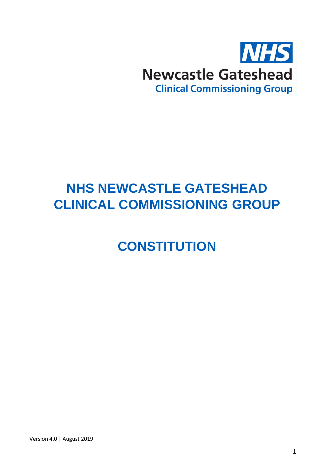

# **NHS NEWCASTLE GATESHEAD CLINICAL COMMISSIONING GROUP**

**CONSTITUTION**

1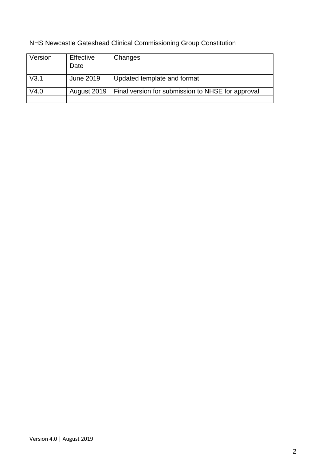| Version      | Effective<br>Date | Changes                                           |
|--------------|-------------------|---------------------------------------------------|
| $\sqrt{3.1}$ | June 2019         | Updated template and format                       |
| V4.0         | August 2019       | Final version for submission to NHSE for approval |
|              |                   |                                                   |

# NHS Newcastle Gateshead Clinical Commissioning Group Constitution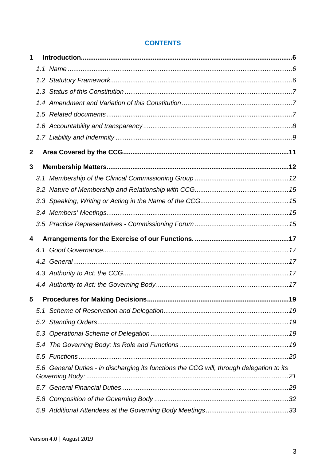## **CONTENTS**

| 1                |                                                                                           |  |
|------------------|-------------------------------------------------------------------------------------------|--|
|                  |                                                                                           |  |
|                  |                                                                                           |  |
|                  |                                                                                           |  |
|                  |                                                                                           |  |
|                  |                                                                                           |  |
|                  |                                                                                           |  |
|                  |                                                                                           |  |
| $\boldsymbol{2}$ |                                                                                           |  |
| 3                |                                                                                           |  |
|                  |                                                                                           |  |
|                  |                                                                                           |  |
|                  |                                                                                           |  |
|                  |                                                                                           |  |
|                  |                                                                                           |  |
|                  |                                                                                           |  |
| 4                |                                                                                           |  |
|                  |                                                                                           |  |
|                  |                                                                                           |  |
|                  |                                                                                           |  |
|                  |                                                                                           |  |
| 5                |                                                                                           |  |
|                  |                                                                                           |  |
|                  |                                                                                           |  |
|                  |                                                                                           |  |
|                  |                                                                                           |  |
|                  |                                                                                           |  |
|                  | 5.6 General Duties - in discharging its functions the CCG will, through delegation to its |  |
|                  |                                                                                           |  |
|                  |                                                                                           |  |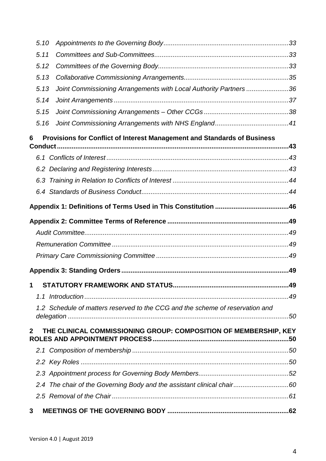| 5.10                |                                                                               |  |
|---------------------|-------------------------------------------------------------------------------|--|
| 5.11                |                                                                               |  |
| 5.12                |                                                                               |  |
| 5.13                |                                                                               |  |
| 5.13                | Joint Commissioning Arrangements with Local Authority Partners 36             |  |
| 5.14                |                                                                               |  |
| 5.15                |                                                                               |  |
| 5.16                |                                                                               |  |
| 6<br><b>Conduct</b> | Provisions for Conflict of Interest Management and Standards of Business      |  |
|                     |                                                                               |  |
|                     |                                                                               |  |
|                     |                                                                               |  |
|                     |                                                                               |  |
|                     |                                                                               |  |
|                     |                                                                               |  |
|                     |                                                                               |  |
|                     |                                                                               |  |
|                     |                                                                               |  |
|                     |                                                                               |  |
|                     |                                                                               |  |
|                     |                                                                               |  |
|                     | 1.2 Schedule of matters reserved to the CCG and the scheme of reservation and |  |
|                     |                                                                               |  |
| $\mathbf{2}$        | THE CLINICAL COMMISSIONING GROUP: COMPOSITION OF MEMBERSHIP, KEY              |  |
|                     |                                                                               |  |
|                     |                                                                               |  |
|                     |                                                                               |  |
|                     |                                                                               |  |
|                     |                                                                               |  |
| 3                   |                                                                               |  |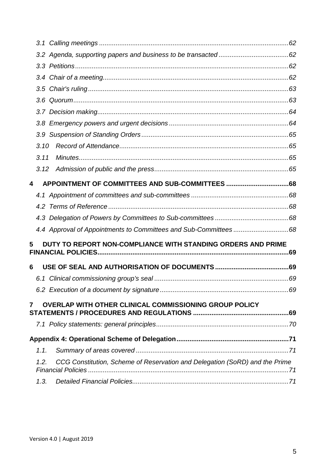| 3.10                                                                                |  |
|-------------------------------------------------------------------------------------|--|
| 3.11                                                                                |  |
| 3.12                                                                                |  |
| $\overline{\mathbf{4}}$                                                             |  |
|                                                                                     |  |
|                                                                                     |  |
|                                                                                     |  |
|                                                                                     |  |
| DUTY TO REPORT NON-COMPLIANCE WITH STANDING ORDERS AND PRIME<br>5                   |  |
|                                                                                     |  |
| 6                                                                                   |  |
|                                                                                     |  |
|                                                                                     |  |
| OVERLAP WITH OTHER CLINICAL COMMISSIONING GROUP POLICY<br>$\overline{7}$            |  |
|                                                                                     |  |
|                                                                                     |  |
|                                                                                     |  |
| 1.1.                                                                                |  |
| CCG Constitution, Scheme of Reservation and Delegation (SoRD) and the Prime<br>1.2. |  |
|                                                                                     |  |
| 1.3.                                                                                |  |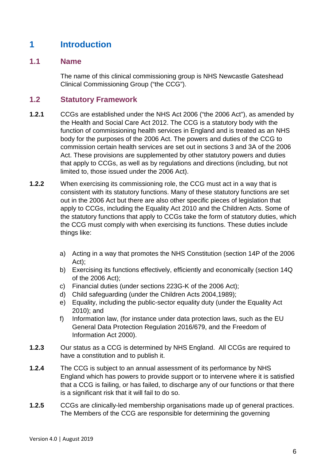# <span id="page-5-0"></span>**1 Introduction**

#### <span id="page-5-1"></span>**1.1 Name**

The name of this clinical commissioning group is NHS Newcastle Gateshead Clinical Commissioning Group ("the CCG").

#### <span id="page-5-2"></span>**1.2 Statutory Framework**

- **1.2.1** CCGs are established under the NHS Act 2006 ("the 2006 Act"), as amended by the Health and Social Care Act 2012. The CCG is a statutory body with the function of commissioning health services in England and is treated as an NHS body for the purposes of the 2006 Act. The powers and duties of the CCG to commission certain health services are set out in sections 3 and 3A of the 2006 Act. These provisions are supplemented by other statutory powers and duties that apply to CCGs, as well as by regulations and directions (including, but not limited to, those issued under the 2006 Act).
- **1.2.2** When exercising its commissioning role, the CCG must act in a way that is consistent with its statutory functions. Many of these statutory functions are set out in the 2006 Act but there are also other specific pieces of legislation that apply to CCGs, including the Equality Act 2010 and the Children Acts. Some of the statutory functions that apply to CCGs take the form of statutory duties, which the CCG must comply with when exercising its functions. These duties include things like:
	- a) Acting in a way that promotes the NHS Constitution (section 14P of the 2006 Act);
	- b) Exercising its functions effectively, efficiently and economically (section 14Q of the 2006 Act);
	- c) Financial duties (under sections 223G-K of the 2006 Act);
	- d) Child safeguarding (under the Children Acts 2004,1989);
	- e) Equality, including the public-sector equality duty (under the Equality Act 2010); and
	- f) Information law, (for instance under data protection laws, such as the EU General Data Protection Regulation 2016/679, and the Freedom of Information Act 2000).
- **1.2.3** Our status as a CCG is determined by NHS England. All CCGs are required to have a constitution and to publish it.
- **1.2.4** The CCG is subject to an annual assessment of its performance by NHS England which has powers to provide support or to intervene where it is satisfied that a CCG is failing, or has failed, to discharge any of our functions or that there is a significant risk that it will fail to do so.
- **1.2.5** CCGs are clinically-led membership organisations made up of general practices. The Members of the CCG are responsible for determining the governing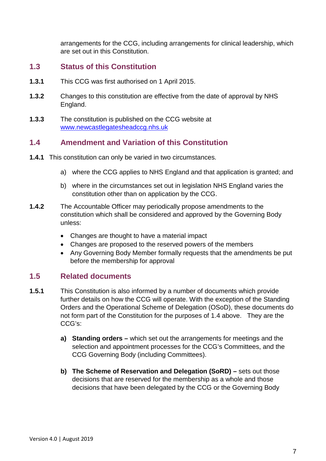arrangements for the CCG, including arrangements for clinical leadership, which are set out in this Constitution.

#### <span id="page-6-0"></span>**1.3 Status of this Constitution**

- **1.3.1** This CCG was first authorised on 1 April 2015.
- **1.3.2** Changes to this constitution are effective from the date of approval by NHS England.
- **1.3.3** The constitution is published on the CCG website at [www.newcastlegatesheadccg.nhs.uk](http://www.newcastlegatesheadccg.nhs.uk/)

#### <span id="page-6-1"></span>**1.4 Amendment and Variation of this Constitution**

- **1.4.1** This constitution can only be varied in two circumstances.
	- a) where the CCG applies to NHS England and that application is granted; and
	- b) where in the circumstances set out in legislation NHS England varies the constitution other than on application by the CCG.
- **1.4.2** The Accountable Officer may periodically propose amendments to the constitution which shall be considered and approved by the Governing Body unless:
	- Changes are thought to have a material impact
	- Changes are proposed to the reserved powers of the members
	- Any Governing Body Member formally requests that the amendments be put before the membership for approval

#### <span id="page-6-2"></span>**1.5 Related documents**

- **1.5.1** This Constitution is also informed by a number of documents which provide further details on how the CCG will operate. With the exception of the Standing Orders and the Operational Scheme of Delegation (OSoD), these documents do not form part of the Constitution for the purposes of 1.4 above. They are the CCG's:
	- **a) Standing orders –** which set out the arrangements for meetings and the selection and appointment processes for the CCG's Committees, and the CCG Governing Body (including Committees).
	- **b) The Scheme of Reservation and Delegation (SoRD) –** sets out those decisions that are reserved for the membership as a whole and those decisions that have been delegated by the CCG or the Governing Body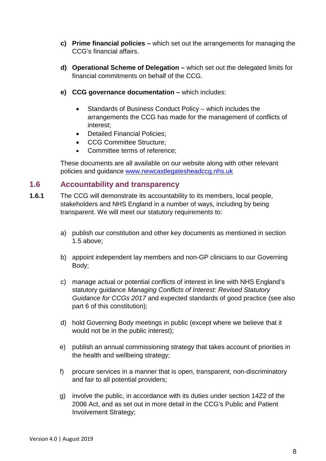- **c) Prime financial policies –** which set out the arrangements for managing the CCG's financial affairs.
- **d) Operational Scheme of Delegation –** which set out the delegated limits for financial commitments on behalf of the CCG.
- **e) CCG governance documentation –** which includes:
	- Standards of Business Conduct Policy which includes the arrangements the CCG has made for the management of conflicts of interest;
	- Detailed Financial Policies:
	- CCG Committee Structure:
	- Committee terms of reference;

These documents are all available on our website along with other relevant policies and guidance [www.newcastlegatesheadccg.nhs.uk](http://www.newcastlegatesheadccg.nhs.uk/)

## <span id="page-7-0"></span>**1.6 Accountability and transparency**

- **1.6.1** The CCG will demonstrate its accountability to its members, local people, stakeholders and NHS England in a number of ways, including by being transparent. We will meet our statutory requirements to:
	- a) publish our constitution and other key documents as mentioned in section 1.5 above;
	- b) appoint independent lay members and non-GP clinicians to our Governing Body;
	- c) manage actual or potential conflicts of interest in line with NHS England's statutory guidance *Managing Conflicts of Interest: Revised Statutory Guidance for CCGs 2017* and expected standards of good practice (see also part 6 of this constitution);
	- d) hold Governing Body meetings in public (except where we believe that it would not be in the public interest);
	- e) publish an annual commissioning strategy that takes account of priorities in the health and wellbeing strategy;
	- f) procure services in a manner that is open, transparent, non-discriminatory and fair to all potential providers;
	- g) involve the public, in accordance with its duties under section 14Z2 of the 2006 Act, and as set out in more detail in the CCG's Public and Patient Involvement Strategy;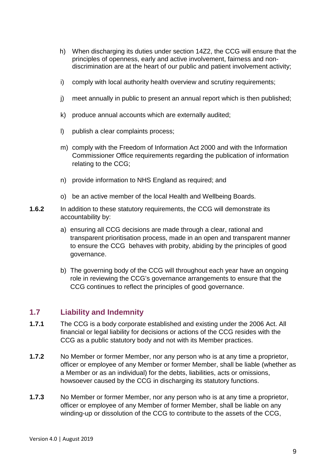- h) When discharging its duties under section 14Z2, the CCG will ensure that the principles of openness, early and active involvement, fairness and nondiscrimination are at the heart of our public and patient involvement activity;
- i) comply with local authority health overview and scrutiny requirements;
- j) meet annually in public to present an annual report which is then published;
- k) produce annual accounts which are externally audited;
- l) publish a clear complaints process;
- m) comply with the Freedom of Information Act 2000 and with the Information Commissioner Office requirements regarding the publication of information relating to the CCG;
- n) provide information to NHS England as required; and
- o) be an active member of the local Health and Wellbeing Boards.
- **1.6.2** In addition to these statutory requirements, the CCG will demonstrate its accountability by:
	- a) ensuring all CCG decisions are made through a clear, rational and transparent prioritisation process, made in an open and transparent manner to ensure the CCG behaves with probity, abiding by the principles of good governance.
	- b) The governing body of the CCG will throughout each year have an ongoing role in reviewing the CCG's governance arrangements to ensure that the CCG continues to reflect the principles of good governance.

## <span id="page-8-0"></span>**1.7 Liability and Indemnity**

- **1.7.1** The CCG is a body corporate established and existing under the 2006 Act. All financial or legal liability for decisions or actions of the CCG resides with the CCG as a public statutory body and not with its Member practices.
- **1.7.2** No Member or former Member, nor any person who is at any time a proprietor, officer or employee of any Member or former Member, shall be liable (whether as a Member or as an individual) for the debts, liabilities, acts or omissions, howsoever caused by the CCG in discharging its statutory functions.
- **1.7.3** No Member or former Member, nor any person who is at any time a proprietor, officer or employee of any Member of former Member, shall be liable on any winding-up or dissolution of the CCG to contribute to the assets of the CCG,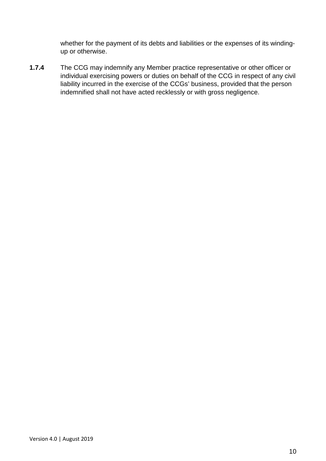whether for the payment of its debts and liabilities or the expenses of its windingup or otherwise.

**1.7.4** The CCG may indemnify any Member practice representative or other officer or individual exercising powers or duties on behalf of the CCG in respect of any civil liability incurred in the exercise of the CCGs' business, provided that the person indemnified shall not have acted recklessly or with gross negligence.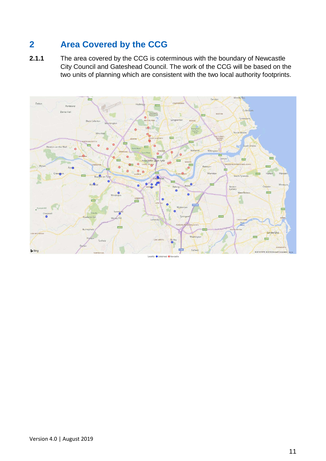# <span id="page-10-0"></span>**2 Area Covered by the CCG**

**2.1.1** The area covered by the CCG is coterminous with the boundary of Newcastle City Council and Gateshead Council. The work of the CCG will be based on the two units of planning which are consistent with the two local authority footprints.



Version 4.0 | August 2019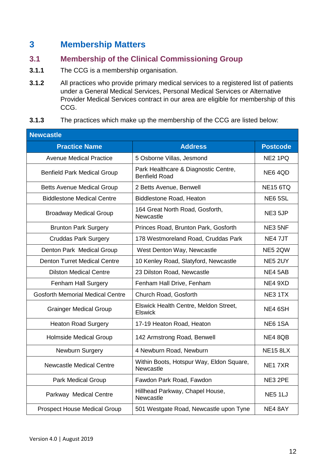## <span id="page-11-0"></span>**3 Membership Matters**

## <span id="page-11-1"></span>**3.1 Membership of the Clinical Commissioning Group**

- **3.1.1** The CCG is a membership organisation.
- **3.1.2** All practices who provide primary medical services to a registered list of patients under a General Medical Services, Personal Medical Services or Alternative Provider Medical Services contract in our area are eligible for membership of this CCG.

#### **3.1.3** The practices which make up the membership of the CCG are listed below:

| <b>Newcastle</b>                        |                                                              |                     |  |
|-----------------------------------------|--------------------------------------------------------------|---------------------|--|
| <b>Practice Name</b>                    | <b>Address</b>                                               | <b>Postcode</b>     |  |
| <b>Avenue Medical Practice</b>          | 5 Osborne Villas, Jesmond                                    | NE2 1PQ             |  |
| <b>Benfield Park Medical Group</b>      | Park Healthcare & Diagnostic Centre,<br><b>Benfield Road</b> | NE6 4QD             |  |
| <b>Betts Avenue Medical Group</b>       | 2 Betts Avenue, Benwell                                      | <b>NE15 6TQ</b>     |  |
| <b>Biddlestone Medical Centre</b>       | <b>Biddlestone Road, Heaton</b>                              | <b>NE6 5SL</b>      |  |
| <b>Broadway Medical Group</b>           | 164 Great North Road, Gosforth,<br>Newcastle                 | NE3 5JP             |  |
| <b>Brunton Park Surgery</b>             | Princes Road, Brunton Park, Gosforth                         | NE3 5NF             |  |
| <b>Cruddas Park Surgery</b>             | 178 Westmoreland Road, Cruddas Park                          | NE4 7JT             |  |
| Denton Park Medical Group               | West Denton Way, Newcastle                                   | NE5 2QW             |  |
| <b>Denton Turret Medical Centre</b>     | 10 Kenley Road, Slatyford, Newcastle                         | NE5 2UY             |  |
| <b>Dilston Medical Centre</b>           | 23 Dilston Road, Newcastle                                   | NE4 5AB             |  |
| Fenham Hall Surgery                     | Fenham Hall Drive, Fenham                                    | NE4 9XD             |  |
| <b>Gosforth Memorial Medical Centre</b> | Church Road, Gosforth                                        | NE3 1TX             |  |
| <b>Grainger Medical Group</b>           | Elswick Health Centre, Meldon Street,<br><b>Elswick</b>      | NE4 6SH             |  |
| <b>Heaton Road Surgery</b>              | 17-19 Heaton Road, Heaton                                    | <b>NE6 1SA</b>      |  |
| Holmside Medical Group                  | 142 Armstrong Road, Benwell                                  | NE4 8QB             |  |
| Newburn Surgery                         | 4 Newburn Road, Newburn                                      | <b>NE15 8LX</b>     |  |
| <b>Newcastle Medical Centre</b>         | Within Boots, Hotspur Way, Eldon Square,<br>Newcastle        | NE <sub>1</sub> 7XR |  |
| <b>Park Medical Group</b>               | Fawdon Park Road, Fawdon                                     | NE3 2PE             |  |
| Parkway Medical Centre                  | Hillhead Parkway, Chapel House,<br>Newcastle                 | NE51LJ              |  |
| <b>Prospect House Medical Group</b>     | 501 Westgate Road, Newcastle upon Tyne                       | NE4 8AY             |  |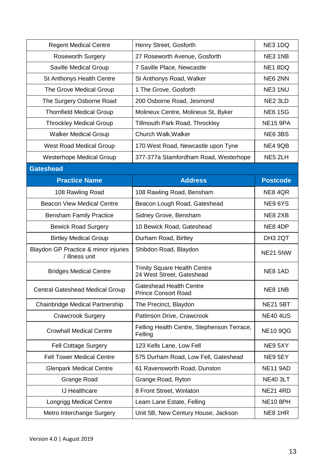| <b>Regent Medical Centre</b>                           | Henry Street, Gosforth                                           | NE3 1DQ         |
|--------------------------------------------------------|------------------------------------------------------------------|-----------------|
| <b>Roseworth Surgery</b>                               | 27 Roseworth Avenue, Gosforth                                    | NE3 1NB         |
| Saville Medical Group                                  | 7 Saville Place, Newcastle                                       | NE1 8DQ         |
| <b>St Anthonys Health Centre</b>                       | St Anthonys Road, Walker                                         | NE6 2NN         |
| The Grove Medical Group                                | 1 The Grove, Gosforth                                            | NE3 1NU         |
| The Surgery Osborne Road                               | 200 Osborne Road, Jesmond                                        | NE2 3LD         |
| <b>Thornfield Medical Group</b>                        | Molineux Centre, Molineux St, Byker                              | <b>NE6 1SG</b>  |
| <b>Throckley Medical Group</b>                         | Tillmouth Park Road, Throckley                                   | <b>NE15 9PA</b> |
| <b>Walker Medical Group</b>                            | Church Walk, Walker                                              | NE6 3BS         |
| <b>West Road Medical Group</b>                         | 170 West Road, Newcastle upon Tyne                               | NE4 9QB         |
| <b>Westerhope Medical Group</b>                        | 377-377a Stamfordham Road, Westerhope                            | NE5 2LH         |
| <b>Gateshead</b>                                       |                                                                  |                 |
| <b>Practice Name</b>                                   | <b>Address</b>                                                   | <b>Postcode</b> |
| 108 Rawling Road                                       | 108 Rawling Road, Bensham                                        | NE84QR          |
| <b>Beacon View Medical Centre</b>                      | Beacon Lough Road, Gateshead                                     | NE9 6YS         |
| <b>Bensham Family Practice</b>                         | Sidney Grove, Bensham                                            | NE8 2XB         |
| <b>Bewick Road Surgery</b>                             | 10 Bewick Road, Gateshead                                        | NE8 4DP         |
| <b>Birtley Medical Group</b>                           | Durham Road, Birtley                                             | DH3 2QT         |
| Blaydon GP Practice & minor injuries<br>/ illness unit | Shibdon Road, Blaydon                                            | <b>NE21 5NW</b> |
| <b>Bridges Medical Centre</b>                          | <b>Trinity Square Health Centre</b><br>24 West Street, Gateshead | NE8 1AD         |
| <b>Central Gateshead Medical Group</b>                 | <b>Gateshead Health Centre</b><br><b>Prince Consort Road</b>     | NE8 1NB         |
| Chainbridge Medical Partnership                        | The Precinct, Blaydon                                            | <b>NE21 5BT</b> |
| <b>Crawcrook Surgery</b>                               | Pattinson Drive, Crawcrook                                       | <b>NE40 4US</b> |
| <b>Crowhall Medical Centre</b>                         | Felling Health Centre, Stephenson Terrace,<br>Felling            | <b>NE10 9QG</b> |
| <b>Fell Cottage Surgery</b>                            | 123 Kells Lane, Low Fell                                         | NE9 5XY         |
| <b>Fell Tower Medical Centre</b>                       | 575 Durham Road, Low Fell, Gateshead                             | NE9 5EY         |
| <b>Glenpark Medical Centre</b>                         | 61 Ravensworth Road, Dunston                                     | <b>NE11 9AD</b> |
| <b>Grange Road</b>                                     | Grange Road, Ryton                                               | <b>NE40 3LT</b> |
| <b>IJ Healthcare</b>                                   | 8 Front Street, Winlaton                                         | <b>NE21 4RD</b> |
| <b>Longrigg Medical Centre</b>                         | Leam Lane Estate, Felling                                        | <b>NE10 8PH</b> |
| Metro Interchange Surgery                              | Unit 5B, New Century House, Jackson                              | NE8 1HR         |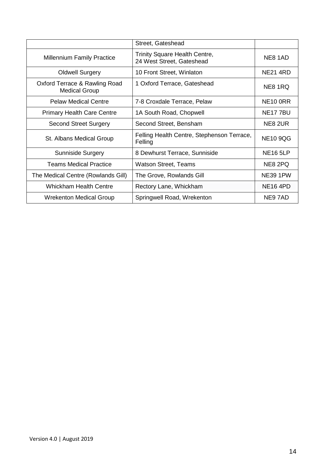|                                                       | Street, Gateshead                                                 |                 |
|-------------------------------------------------------|-------------------------------------------------------------------|-----------------|
| <b>Millennium Family Practice</b>                     | <b>Trinity Square Health Centre,</b><br>24 West Street, Gateshead | NE8 1AD         |
| <b>Oldwell Surgery</b>                                | 10 Front Street, Winlaton                                         | <b>NE21 4RD</b> |
| Oxford Terrace & Rawling Road<br><b>Medical Group</b> | 1 Oxford Terrace, Gateshead                                       | NE8 1RQ         |
| <b>Pelaw Medical Centre</b>                           | 7-8 Croxdale Terrace, Pelaw                                       | <b>NE10 0RR</b> |
| <b>Primary Health Care Centre</b>                     | 1A South Road, Chopwell                                           | <b>NE177BU</b>  |
| <b>Second Street Surgery</b>                          | Second Street, Bensham                                            | NE8 2UR         |
| St. Albans Medical Group                              | Felling Health Centre, Stephenson Terrace,<br>Felling             | <b>NE10 9QG</b> |
| <b>Sunniside Surgery</b>                              | 8 Dewhurst Terrace, Sunniside                                     | <b>NE16 5LP</b> |
| Teams Medical Practice                                | <b>Watson Street, Teams</b>                                       | NE8 2PQ         |
| The Medical Centre (Rowlands Gill)                    | The Grove, Rowlands Gill                                          | <b>NE39 1PW</b> |
| <b>Whickham Health Centre</b>                         | Rectory Lane, Whickham                                            | <b>NE16 4PD</b> |
| <b>Wrekenton Medical Group</b>                        | Springwell Road, Wrekenton                                        | NE97AD          |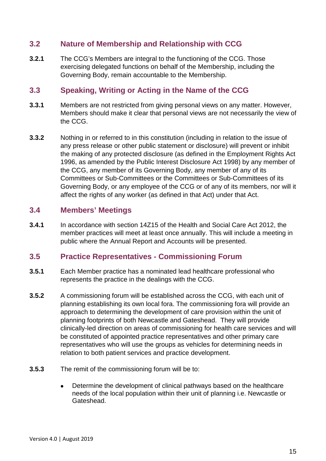## <span id="page-14-0"></span>**3.2 Nature of Membership and Relationship with CCG**

**3.2.1** The CCG's Members are integral to the functioning of the CCG. Those exercising delegated functions on behalf of the Membership, including the Governing Body, remain accountable to the Membership.

## <span id="page-14-1"></span>**3.3 Speaking, Writing or Acting in the Name of the CCG**

- **3.3.1** Members are not restricted from giving personal views on any matter. However, Members should make it clear that personal views are not necessarily the view of the CCG.
- **3.3.2** Nothing in or referred to in this constitution (including in relation to the issue of any press release or other public statement or disclosure) will prevent or inhibit the making of any protected disclosure (as defined in the Employment Rights Act 1996, as amended by the Public Interest Disclosure Act 1998) by any member of the CCG, any member of its Governing Body, any member of any of its Committees or Sub-Committees or the Committees or Sub-Committees of its Governing Body, or any employee of the CCG or of any of its members, nor will it affect the rights of any worker (as defined in that Act) under that Act.

## <span id="page-14-2"></span>**3.4 Members' Meetings**

**3.4.1** In accordance with section 14Z15 of the Health and Social Care Act 2012, the member practices will meet at least once annually. This will include a meeting in public where the Annual Report and Accounts will be presented.

## <span id="page-14-3"></span>**3.5 Practice Representatives - Commissioning Forum**

- **3.5.1** Each Member practice has a nominated lead healthcare professional who represents the practice in the dealings with the CCG.
- **3.5.2** A commissioning forum will be established across the CCG, with each unit of planning establishing its own local fora. The commissioning fora will provide an approach to determining the development of care provision within the unit of planning footprints of both Newcastle and Gateshead. They will provide clinically-led direction on areas of commissioning for health care services and will be constituted of appointed practice representatives and other primary care representatives who will use the groups as vehicles for determining needs in relation to both patient services and practice development.
- **3.5.3** The remit of the commissioning forum will be to:
	- Determine the development of clinical pathways based on the healthcare needs of the local population within their unit of planning i.e. Newcastle or Gateshead.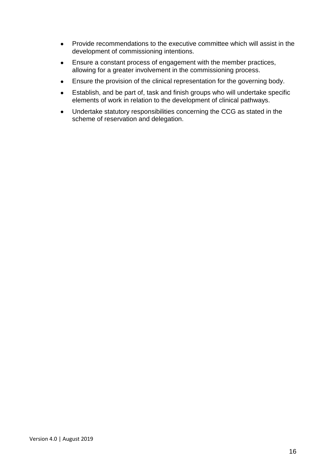- Provide recommendations to the executive committee which will assist in the development of commissioning intentions.
- Ensure a constant process of engagement with the member practices, allowing for a greater involvement in the commissioning process.
- Ensure the provision of the clinical representation for the governing body.
- Establish, and be part of, task and finish groups who will undertake specific elements of work in relation to the development of clinical pathways.
- Undertake statutory responsibilities concerning the CCG as stated in the scheme of reservation and delegation.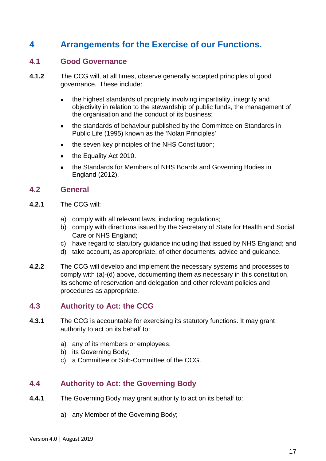# <span id="page-16-0"></span>**4 Arrangements for the Exercise of our Functions.**

#### <span id="page-16-1"></span>**4.1 Good Governance**

- **4.1.2** The CCG will, at all times, observe generally accepted principles of good governance. These include:
	- the highest standards of propriety involving impartiality, integrity and objectivity in relation to the stewardship of public funds, the management of the organisation and the conduct of its business;
	- the standards of behaviour published by the Committee on Standards in Public Life (1995) known as the 'Nolan Principles'
	- the seven key principles of the NHS Constitution;
	- the Equality Act 2010.
	- the Standards for Members of NHS Boards and Governing Bodies in England (2012).

#### <span id="page-16-2"></span>**4.2 General**

- **4.2.1** The CCG will:
	- a) comply with all relevant laws, including regulations;
	- b) comply with directions issued by the Secretary of State for Health and Social Care or NHS England;
	- c) have regard to statutory guidance including that issued by NHS England; and
	- d) take account, as appropriate, of other documents, advice and guidance.
- **4.2.2** The CCG will develop and implement the necessary systems and processes to comply with (a)-(d) above, documenting them as necessary in this constitution, its scheme of reservation and delegation and other relevant policies and procedures as appropriate.

#### <span id="page-16-3"></span>**4.3 Authority to Act: the CCG**

- **4.3.1** The CCG is accountable for exercising its statutory functions. It may grant authority to act on its behalf to:
	- a) any of its members or employees;
	- b) its Governing Body;
	- c) a Committee or Sub-Committee of the CCG.

## <span id="page-16-4"></span>**4.4 Authority to Act: the Governing Body**

- **4.4.1** The Governing Body may grant authority to act on its behalf to:
	- a) any Member of the Governing Body;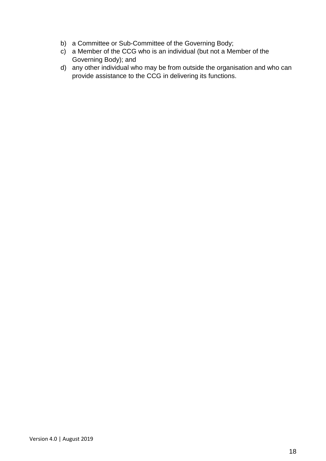- b) a Committee or Sub-Committee of the Governing Body;
- c) a Member of the CCG who is an individual (but not a Member of the Governing Body); and
- d) any other individual who may be from outside the organisation and who can provide assistance to the CCG in delivering its functions.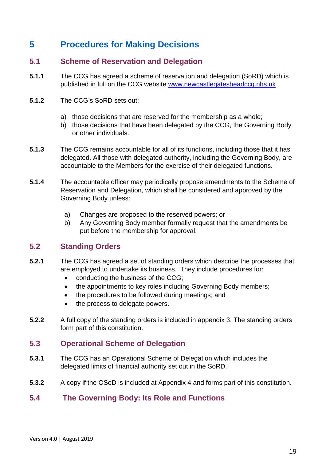# <span id="page-18-0"></span>**5 Procedures for Making Decisions**

## <span id="page-18-1"></span>**5.1 Scheme of Reservation and Delegation**

- **5.1.1** The CCG has agreed a scheme of reservation and delegation (SoRD) which is published in full on the CCG website [www.newcastlegatesheadccg.nhs.uk](http://www.newcastlegatesheadccg.nhs.uk/)
- **5.1.2** The CCG's SoRD sets out:
	- a) those decisions that are reserved for the membership as a whole;
	- b) those decisions that have been delegated by the CCG, the Governing Body or other individuals.
- **5.1.3** The CCG remains accountable for all of its functions, including those that it has delegated. All those with delegated authority, including the Governing Body, are accountable to the Members for the exercise of their delegated functions.
- **5.1.4** The accountable officer may periodically propose amendments to the Scheme of Reservation and Delegation, which shall be considered and approved by the Governing Body unless:
	- a) Changes are proposed to the reserved powers; or
	- b) Any Governing Body member formally request that the amendments be put before the membership for approval.

## <span id="page-18-2"></span>**5.2 Standing Orders**

- **5.2.1** The CCG has agreed a set of standing orders which describe the processes that are employed to undertake its business. They include procedures for:
	- conducting the business of the CCG;
	- the appointments to key roles including Governing Body members:
	- the procedures to be followed during meetings; and
	- the process to delegate powers.
- **5.2.2** A full copy of the standing orders is included in appendix 3. The standing orders form part of this constitution.

## <span id="page-18-3"></span>**5.3 Operational Scheme of Delegation**

- **5.3.1** The CCG has an Operational Scheme of Delegation which includes the delegated limits of financial authority set out in the SoRD.
- **5.3.2** A copy if the OSoD is included at Appendix 4 and forms part of this constitution.

## <span id="page-18-4"></span>**5.4 The Governing Body: Its Role and Functions**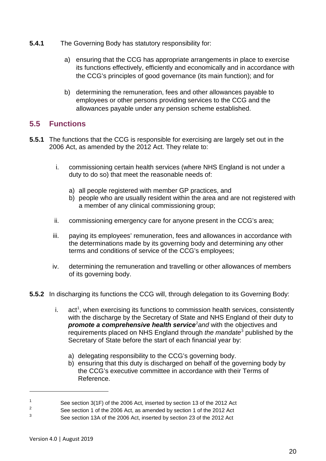- **5.4.1** The Governing Body has statutory responsibility for:
	- a) ensuring that the CCG has appropriate arrangements in place to exercise its functions effectively, efficiently and economically and in accordance with the CCG's principles of good governance (its main function); and for
	- b) determining the remuneration, fees and other allowances payable to employees or other persons providing services to the CCG and the allowances payable under any pension scheme established.

## <span id="page-19-0"></span>**5.5 Functions**

- **5.5.1** The functions that the CCG is responsible for exercising are largely set out in the 2006 Act, as amended by the 2012 Act. They relate to:
	- i. commissioning certain health services (where NHS England is not under a duty to do so) that meet the reasonable needs of:
		- a) all people registered with member GP practices, and
		- b) people who are usually resident within the area and are not registered with a member of any clinical commissioning group;
	- ii. commissioning emergency care for anyone present in the CCG's area;
	- iii. paying its employees' remuneration, fees and allowances in accordance with the determinations made by its governing body and determining any other terms and conditions of service of the CCG's employees;
	- iv. determining the remuneration and travelling or other allowances of members of its governing body.
- **5.5.2** In discharging its functions the CCG will, through delegation to its Governing Body:
	- i. act<sup>[1](#page-19-1)</sup>, when exercising its functions to commission health services, consistently with the discharge by the Secretary of State and NHS England of their duty to **promote a comprehensive health service**<sup>[2](#page-19-2)</sup> and with the objectives and requirements placed on NHS England through *the mandate*[3](#page-19-3) published by the Secretary of State before the start of each financial year by:
		- a) delegating responsibility to the CCG's governing body.
		- b) ensuring that this duty is discharged on behalf of the governing body by the CCG's executive committee in accordance with their Terms of Reference.

<span id="page-19-1"></span><sup>1</sup> See section 3(1F) of the 2006 Act, inserted by section 13 of the 2012 Act<br>
See section 4 of the 2006 Act, as a smalled by section 4 of the 2012 Act

<sup>&</sup>lt;sup>2</sup> See section 1 of the 2006 Act, as amended by section 1 of the 2012 Act

<span id="page-19-3"></span><span id="page-19-2"></span><sup>3</sup> See section 13A of the 2006 Act, inserted by section 23 of the 2012 Act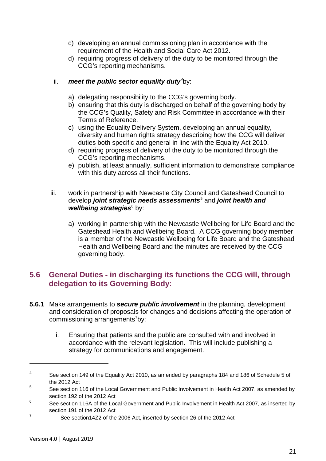- c) developing an annual commissioning plan in accordance with the requirement of the Health and Social Care Act 2012.
- d) requiring progress of delivery of the duty to be monitored through the CCG's reporting mechanisms.

#### ii. **meet the public sector equality duty<sup>[4](#page-20-1)</sup>by:**

- a) delegating responsibility to the CCG's governing body.
- b) ensuring that this duty is discharged on behalf of the governing body by the CCG's Quality, Safety and Risk Committee in accordance with their Terms of Reference.
- c) using the Equality Delivery System, developing an annual equality, diversity and human rights strategy describing how the CCG will deliver duties both specific and general in line with the Equality Act 2010.
- d) requiring progress of delivery of the duty to be monitored through the CCG's reporting mechanisms.
- e) publish, at least annually, sufficient information to demonstrate compliance with this duty across all their functions.
- iii. work in partnership with Newcastle City Council and Gateshead Council to develop *joint strategic needs assessments*[5](#page-20-2) and *joint health and*  wellbeing strategies<sup>[6](#page-20-3)</sup> by:
	- a) working in partnership with the Newcastle Wellbeing for Life Board and the Gateshead Health and Wellbeing Board. A CCG governing body member is a member of the Newcastle Wellbeing for Life Board and the Gateshead Health and Wellbeing Board and the minutes are received by the CCG governing body.

## <span id="page-20-0"></span>**5.6 General Duties - in discharging its functions the CCG will, through delegation to its Governing Body:**

- **5.6.1** Make arrangements to *secure public involvement* in the planning, development and consideration of proposals for changes and decisions affecting the operation of commissioning arrangements<sup>[7](#page-20-4)</sup>by:
	- i. Ensuring that patients and the public are consulted with and involved in accordance with the relevant legislation. This will include publishing a strategy for communications and engagement.

<span id="page-20-1"></span><sup>&</sup>lt;sup>4</sup> See section 149 of the Equality Act 2010, as amended by paragraphs 184 and 186 of Schedule 5 of the 2012 Act

<span id="page-20-2"></span><sup>&</sup>lt;sup>5</sup> See section 116 of the Local Government and Public Involvement in Health Act 2007, as amended by section 192 of the 2012 Act

<span id="page-20-3"></span><sup>&</sup>lt;sup>6</sup> See section 116A of the Local Government and Public Involvement in Health Act 2007, as inserted by section 191 of the 2012 Act

<span id="page-20-4"></span><sup>7</sup> See section14Z2 of the 2006 Act, inserted by section 26 of the 2012 Act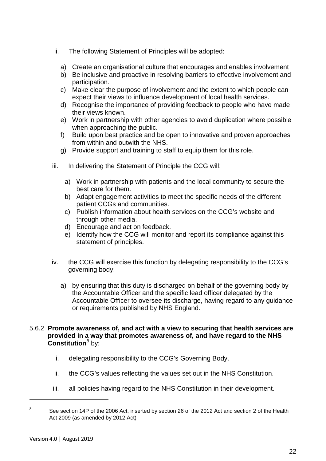- ii. The following Statement of Principles will be adopted:
	- a) Create an organisational culture that encourages and enables involvement
	- b) Be inclusive and proactive in resolving barriers to effective involvement and participation.
	- c) Make clear the purpose of involvement and the extent to which people can expect their views to influence development of local health services.
	- d) Recognise the importance of providing feedback to people who have made their views known.
	- e) Work in partnership with other agencies to avoid duplication where possible when approaching the public.
	- f) Build upon best practice and be open to innovative and proven approaches from within and outwith the NHS.
	- g) Provide support and training to staff to equip them for this role.
- iii. In delivering the Statement of Principle the CCG will:
	- a) Work in partnership with patients and the local community to secure the best care for them.
	- b) Adapt engagement activities to meet the specific needs of the different patient CCGs and communities.
	- c) Publish information about health services on the CCG's website and through other media.
	- d) Encourage and act on feedback.
	- e) Identify how the CCG will monitor and report its compliance against this statement of principles.
- iv. the CCG will exercise this function by delegating responsibility to the CCG's governing body:
	- a) by ensuring that this duty is discharged on behalf of the governing body by the Accountable Officer and the specific lead officer delegated by the Accountable Officer to oversee its discharge, having regard to any guidance or requirements published by NHS England.

#### 5.6.2 **Promote awareness of, and act with a view to securing that health services are provided in a way that promotes awareness of, and have regard to the NHS Constitution**<sup>[8](#page-21-0)</sup> by:

- i. delegating responsibility to the CCG's Governing Body.
- ii. the CCG's values reflecting the values set out in the NHS Constitution.
- iii. all policies having regard to the NHS Constitution in their development.

<span id="page-21-0"></span><sup>&</sup>lt;sup>8</sup> See section 14P of the 2006 Act, inserted by section 26 of the 2012 Act and section 2 of the Health Act 2009 (as amended by 2012 Act)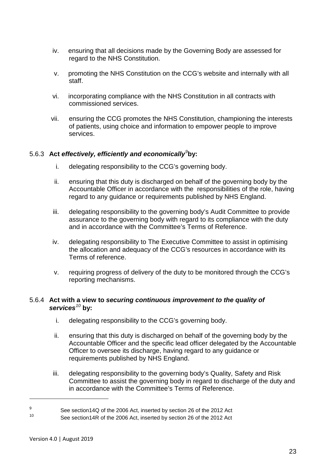- iv. ensuring that all decisions made by the Governing Body are assessed for regard to the NHS Constitution.
- v. promoting the NHS Constitution on the CCG's website and internally with all staff.
- vi. incorporating compliance with the NHS Constitution in all contracts with commissioned services.
- vii. ensuring the CCG promotes the NHS Constitution, championing the interests of patients, using choice and information to empower people to improve services.

#### 5.6.3 **Act** *effectively, efficiently and economically[9](#page-22-0)* **by:**

- i. delegating responsibility to the CCG's governing body.
- ii. ensuring that this duty is discharged on behalf of the governing body by the Accountable Officer in accordance with the responsibilities of the role, having regard to any guidance or requirements published by NHS England.
- iii. delegating responsibility to the governing body's Audit Committee to provide assurance to the governing body with regard to its compliance with the duty and in accordance with the Committee's Terms of Reference.
- iv. delegating responsibility to The Executive Committee to assist in optimising the allocation and adequacy of the CCG's resources in accordance with its Terms of reference.
- v. requiring progress of delivery of the duty to be monitored through the CCG's reporting mechanisms.

#### 5.6.4 **Act with a view to** *securing continuous improvement to the quality of services[10](#page-22-1)* **by:**

- i. delegating responsibility to the CCG's governing body.
- ii. ensuring that this duty is discharged on behalf of the governing body by the Accountable Officer and the specific lead officer delegated by the Accountable Officer to oversee its discharge, having regard to any guidance or requirements published by NHS England.
- iii. delegating responsibility to the governing body's Quality, Safety and Risk Committee to assist the governing body in regard to discharge of the duty and in accordance with the Committee's Terms of Reference.

<span id="page-22-0"></span><sup>9</sup> See section14Q of the 2006 Act, inserted by section 26 of the 2012 Act

<span id="page-22-1"></span>See section14R of the 2006 Act, inserted by section 26 of the 2012 Act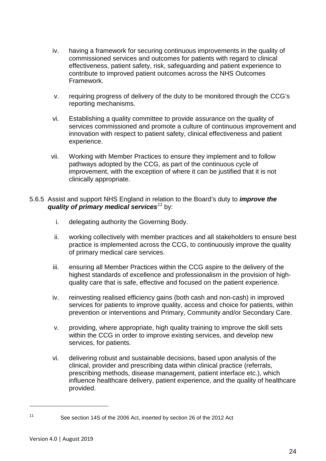- iv. having a framework for securing continuous improvements in the quality of commissioned services and outcomes for patients with regard to clinical effectiveness, patient safety, risk, safeguarding and patient experience to contribute to improved patient outcomes across the NHS Outcomes Framework.
- v. requiring progress of delivery of the duty to be monitored through the CCG's reporting mechanisms.
- vi. Establishing a quality committee to provide assurance on the quality of services commissioned and promote a culture of continuous improvement and innovation with respect to patient safety, clinical effectiveness and patient experience.
- vii. Working with Member Practices to ensure they implement and to follow pathways adopted by the CCG, as part of the continuous cycle of improvement, with the exception of where it can be justified that it is not clinically appropriate.
- 5.6.5 Assist and support NHS England in relation to the Board's duty to *improve the quality of primary medical services[11](#page-23-0)* by:
	- i. delegating authority the Governing Body.
	- ii. working collectively with member practices and all stakeholders to ensure best practice is implemented across the CCG, to continuously improve the quality of primary medical care services.
	- iii. ensuring all Member Practices within the CCG aspire to the delivery of the highest standards of excellence and professionalism in the provision of highquality care that is safe, effective and focused on the patient experience.
	- iv. reinvesting realised efficiency gains (both cash and non-cash) in improved services for patients to improve quality, access and choice for patients, within prevention or interventions and Primary, Community and/or Secondary Care.
	- v. providing, where appropriate, high quality training to improve the skill sets within the CCG in order to improve existing services, and develop new services, for patients.
	- vi. delivering robust and sustainable decisions, based upon analysis of the clinical, provider and prescribing data within clinical practice (referrals, prescribing methods, disease management, patient interface etc.), which influence healthcare delivery, patient experience, and the quality of healthcare provided.

<span id="page-23-0"></span><sup>11</sup> See section 14S of the 2006 Act, inserted by section 26 of the 2012 Act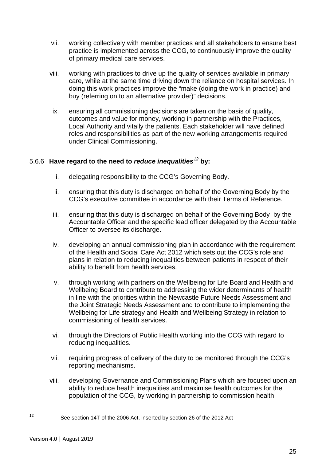- vii. working collectively with member practices and all stakeholders to ensure best practice is implemented across the CCG, to continuously improve the quality of primary medical care services.
- viii. working with practices to drive up the quality of services available in primary care, while at the same time driving down the reliance on hospital services. In doing this work practices improve the "make (doing the work in practice) and buy (referring on to an alternative provider)" decisions.
- ix. ensuring all commissioning decisions are taken on the basis of quality, outcomes and value for money, working in partnership with the Practices, Local Authority and vitally the patients. Each stakeholder will have defined roles and responsibilities as part of the new working arrangements required under Clinical Commissioning.

#### 5.6.6 **Have regard to the need to** *reduce inequalities[12](#page-24-0)* **by:**

- i. delegating responsibility to the CCG's Governing Body.
- ii. ensuring that this duty is discharged on behalf of the Governing Body by the CCG's executive committee in accordance with their Terms of Reference.
- iii. ensuring that this duty is discharged on behalf of the Governing Body by the Accountable Officer and the specific lead officer delegated by the Accountable Officer to oversee its discharge.
- iv. developing an annual commissioning plan in accordance with the requirement of the Health and Social Care Act 2012 which sets out the CCG's role and plans in relation to reducing inequalities between patients in respect of their ability to benefit from health services.
- v. through working with partners on the Wellbeing for Life Board and Health and Wellbeing Board to contribute to addressing the wider determinants of health in line with the priorities within the Newcastle Future Needs Assessment and the Joint Strategic Needs Assessment and to contribute to implementing the Wellbeing for Life strategy and Health and Wellbeing Strategy in relation to commissioning of health services.
- vi. through the Directors of Public Health working into the CCG with regard to reducing inequalities.
- vii. requiring progress of delivery of the duty to be monitored through the CCG's reporting mechanisms.
- viii. developing Governance and Commissioning Plans which are focused upon an ability to reduce health inequalities and maximise health outcomes for the population of the CCG, by working in partnership to commission health

<span id="page-24-0"></span><sup>12</sup> See section 14T of the 2006 Act, inserted by section 26 of the 2012 Act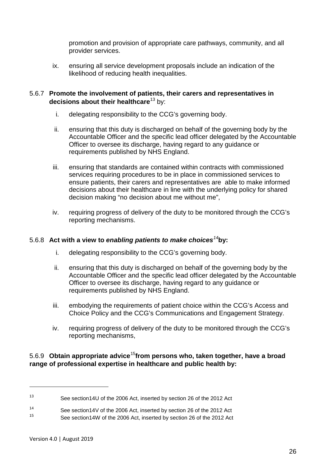promotion and provision of appropriate care pathways, community, and all provider services.

ix. ensuring all service development proposals include an indication of the likelihood of reducing health inequalities.

#### 5.6.7 **Promote the involvement of patients, their carers and representatives in decisions about their healthcare**[13](#page-25-0) by:

- i. delegating responsibility to the CCG's governing body.
- ii. ensuring that this duty is discharged on behalf of the governing body by the Accountable Officer and the specific lead officer delegated by the Accountable Officer to oversee its discharge, having regard to any guidance or requirements published by NHS England.
- iii. ensuring that standards are contained within contracts with commissioned services requiring procedures to be in place in commissioned services to ensure patients, their carers and representatives are able to make informed decisions about their healthcare in line with the underlying policy for shared decision making "no decision about me without me",
- iv. requiring progress of delivery of the duty to be monitored through the CCG's reporting mechanisms.

#### 5.6.8 **Act with a view to** *enabling patients to make choices[14](#page-25-1)***by:**

- i. delegating responsibility to the CCG's governing body.
- ii. ensuring that this duty is discharged on behalf of the governing body by the Accountable Officer and the specific lead officer delegated by the Accountable Officer to oversee its discharge, having regard to any guidance or requirements published by NHS England.
- iii. embodying the requirements of patient choice within the CCG's Access and Choice Policy and the CCG's Communications and Engagement Strategy.
- iv. requiring progress of delivery of the duty to be monitored through the CCG's reporting mechanisms,

#### 5.6.9 **Obtain appropriate advice**[15](#page-25-2)**from persons who, taken together, have a broad range of professional expertise in healthcare and public health by:**

<span id="page-25-0"></span><sup>13</sup> See section14U of the 2006 Act, inserted by section 26 of the 2012 Act

<span id="page-25-2"></span><span id="page-25-1"></span><sup>14</sup> See section 14V of the 2006 Act, inserted by section 26 of the 2012 Act See section14W of the 2006 Act, inserted by section 26 of the 2012 Act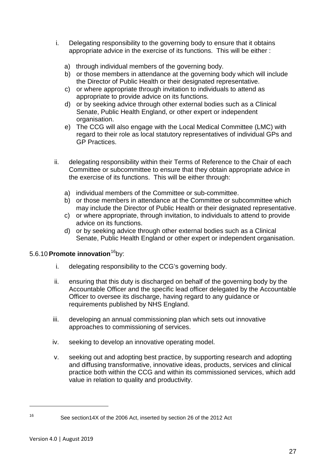- i. Delegating responsibility to the governing body to ensure that it obtains appropriate advice in the exercise of its functions. This will be either :
	- a) through individual members of the governing body.
	- b) or those members in attendance at the governing body which will include the Director of Public Health or their designated representative.
	- c) or where appropriate through invitation to individuals to attend as appropriate to provide advice on its functions.
	- d) or by seeking advice through other external bodies such as a Clinical Senate, Public Health England, or other expert or independent organisation.
	- e) The CCG will also engage with the Local Medical Committee (LMC) with regard to their role as local statutory representatives of individual GPs and GP Practices.
- ii. delegating responsibility within their Terms of Reference to the Chair of each Committee or subcommittee to ensure that they obtain appropriate advice in the exercise of its functions. This will be either through:
	- a) individual members of the Committee or sub-committee.
	- b) or those members in attendance at the Committee or subcommittee which may include the Director of Public Health or their designated representative.
	- c) or where appropriate, through invitation, to individuals to attend to provide advice on its functions.
	- d) or by seeking advice through other external bodies such as a Clinical Senate, Public Health England or other expert or independent organisation.

#### 5.6.10 **Promote innovation**<sup>[16](#page-26-0)</sup>by:

- i. delegating responsibility to the CCG's governing body.
- ii. ensuring that this duty is discharged on behalf of the governing body by the Accountable Officer and the specific lead officer delegated by the Accountable Officer to oversee its discharge, having regard to any guidance or requirements published by NHS England.
- iii. developing an annual commissioning plan which sets out innovative approaches to commissioning of services.
- iv. seeking to develop an innovative operating model.
- v. seeking out and adopting best practice, by supporting research and adopting and diffusing transformative, innovative ideas, products, services and clinical practice both within the CCG and within its commissioned services, which add value in relation to quality and productivity.

<span id="page-26-0"></span><sup>16</sup> See section14X of the 2006 Act, inserted by section 26 of the 2012 Act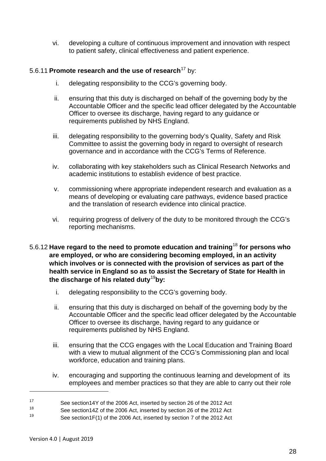vi. developing a culture of continuous improvement and innovation with respect to patient safety, clinical effectiveness and patient experience.

#### 5.6.11 **Promote research and the use of research**<sup>[17](#page-27-0)</sup> by:

- i. delegating responsibility to the CCG's governing body.
- ii. ensuring that this duty is discharged on behalf of the governing body by the Accountable Officer and the specific lead officer delegated by the Accountable Officer to oversee its discharge, having regard to any guidance or requirements published by NHS England.
- iii. delegating responsibility to the governing body's Quality, Safety and Risk Committee to assist the governing body in regard to oversight of research governance and in accordance with the CCG's Terms of Reference.
- iv. collaborating with key stakeholders such as Clinical Research Networks and academic institutions to establish evidence of best practice.
- v. commissioning where appropriate independent research and evaluation as a means of developing or evaluating care pathways, evidence based practice and the translation of research evidence into clinical practice.
- vi. requiring progress of delivery of the duty to be monitored through the CCG's reporting mechanisms.
- 5.6.12 **Have regard to the need to promote education and training**[18](#page-27-1) **for persons who are employed, or who are considering becoming employed, in an activity which involves or is connected with the provision of services as part of the health service in England so as to assist the Secretary of State for Health in the discharge of his related duty**[19](#page-27-2)**by:**
	- i. delegating responsibility to the CCG's governing body.
	- ii. ensuring that this duty is discharged on behalf of the governing body by the Accountable Officer and the specific lead officer delegated by the Accountable Officer to oversee its discharge, having regard to any guidance or requirements published by NHS England.
	- iii. ensuring that the CCG engages with the Local Education and Training Board with a view to mutual alignment of the CCG's Commissioning plan and local workforce, education and training plans.
	- iv. encouraging and supporting the continuous learning and development of its employees and member practices so that they are able to carry out their role

<sup>&</sup>lt;sup>17</sup> See section 14Y of the 2006 Act, inserted by section 26 of the 2012 Act<br><sup>18</sup>

<span id="page-27-0"></span><sup>&</sup>lt;sup>18</sup> See section 14Z of the 2006 Act, inserted by section 26 of the 2012 Act

<span id="page-27-2"></span><span id="page-27-1"></span>See section1F(1) of the 2006 Act, inserted by section 7 of the 2012 Act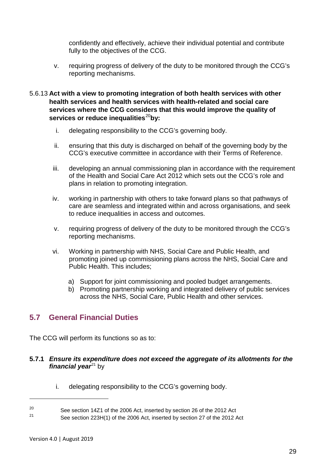confidently and effectively, achieve their individual potential and contribute fully to the objectives of the CCG.

v. requiring progress of delivery of the duty to be monitored through the CCG's reporting mechanisms.

#### 5.6.13 **Act with a view to promoting integration of both health services with other health services and health services with health-related and social care services where the CCG considers that this would improve the quality of**  services or reduce inequalities<sup>[20](#page-28-1)</sup>by:

- i. delegating responsibility to the CCG's governing body.
- ii. ensuring that this duty is discharged on behalf of the governing body by the CCG's executive committee in accordance with their Terms of Reference.
- iii. developing an annual commissioning plan in accordance with the requirement of the Health and Social Care Act 2012 which sets out the CCG's role and plans in relation to promoting integration.
- iv. working in partnership with others to take forward plans so that pathways of care are seamless and integrated within and across organisations, and seek to reduce inequalities in access and outcomes.
- v. requiring progress of delivery of the duty to be monitored through the CCG's reporting mechanisms.
- vi. Working in partnership with NHS, Social Care and Public Health, and promoting joined up commissioning plans across the NHS, Social Care and Public Health. This includes;
	- a) Support for joint commissioning and pooled budget arrangements.
	- b) Promoting partnership working and integrated delivery of public services across the NHS, Social Care, Public Health and other services.

## <span id="page-28-0"></span>**5.7 General Financial Duties**

The CCG will perform its functions so as to:

#### **5.7.1** *Ensure its expenditure does not exceed the aggregate of its allotments for the financial year*<sup>[21](#page-28-2)</sup> by

i. delegating responsibility to the CCG's governing body.

<span id="page-28-1"></span><sup>&</sup>lt;sup>20</sup> See section 14Z1 of the 2006 Act, inserted by section 26 of the 2012 Act

<span id="page-28-2"></span>See section 223H(1) of the 2006 Act, inserted by section 27 of the 2012 Act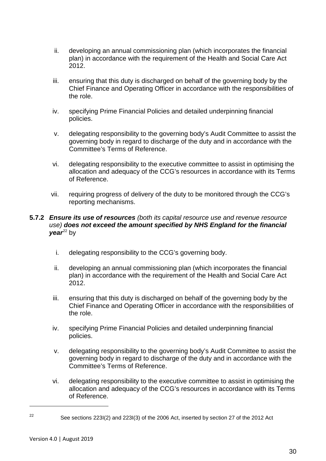- ii. developing an annual commissioning plan (which incorporates the financial plan) in accordance with the requirement of the Health and Social Care Act 2012.
- iii. ensuring that this duty is discharged on behalf of the governing body by the Chief Finance and Operating Officer in accordance with the responsibilities of the role.
- iv. specifying Prime Financial Policies and detailed underpinning financial policies.
- v. delegating responsibility to the governing body's Audit Committee to assist the governing body in regard to discharge of the duty and in accordance with the Committee's Terms of Reference.
- vi. delegating responsibility to the executive committee to assist in optimising the allocation and adequacy of the CCG's resources in accordance with its Terms of Reference.
- vii. requiring progress of delivery of the duty to be monitored through the CCG's reporting mechanisms.

#### **5.7.2** *Ensure its use of resources (both its capital resource use and revenue resource use) does not exceed the amount specified by NHS England for the financial*   $\mathsf{v}$ ear<sup>[22](#page-29-0)</sup> by

- i. delegating responsibility to the CCG's governing body.
- ii. developing an annual commissioning plan (which incorporates the financial plan) in accordance with the requirement of the Health and Social Care Act 2012.
- iii. ensuring that this duty is discharged on behalf of the governing body by the Chief Finance and Operating Officer in accordance with the responsibilities of the role.
- iv. specifying Prime Financial Policies and detailed underpinning financial policies.
- v. delegating responsibility to the governing body's Audit Committee to assist the governing body in regard to discharge of the duty and in accordance with the Committee's Terms of Reference.
- vi. delegating responsibility to the executive committee to assist in optimising the allocation and adequacy of the CCG's resources in accordance with its Terms of Reference.

<span id="page-29-0"></span><sup>&</sup>lt;sup>22</sup> See sections 223I(2) and 223I(3) of the 2006 Act, inserted by section 27 of the 2012 Act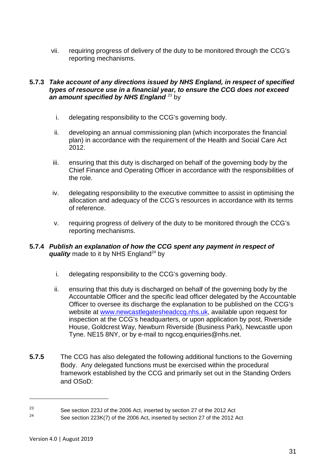vii. requiring progress of delivery of the duty to be monitored through the CCG's reporting mechanisms.

#### **5.7.3** *Take account of any directions issued by NHS England, in respect of specified types of resource use in a financial year, to ensure the CCG does not exceed*  an amount specified by NHS England<sup>[23](#page-30-0)</sup> by

- i. delegating responsibility to the CCG's governing body.
- ii. developing an annual commissioning plan (which incorporates the financial plan) in accordance with the requirement of the Health and Social Care Act 2012.
- iii. ensuring that this duty is discharged on behalf of the governing body by the Chief Finance and Operating Officer in accordance with the responsibilities of the role.
- iv. delegating responsibility to the executive committee to assist in optimising the allocation and adequacy of the CCG's resources in accordance with its terms of reference.
- v. requiring progress of delivery of the duty to be monitored through the CCG's reporting mechanisms.

#### **5.7.4** *Publish an explanation of how the CCG spent any payment in respect of*  **quality** made to it by NHS England<sup>[24](#page-30-1)</sup> by

- i. delegating responsibility to the CCG's governing body.
- ii. ensuring that this duty is discharged on behalf of the governing body by the Accountable Officer and the specific lead officer delegated by the Accountable Officer to oversee its discharge the explanation to be published on the CCG's website at [www.newcastlegatesheadccg.nhs.uk,](file://ntpcts60/Shared_Info/CCGs/Alliance/Merger%20Documents/Pre%20submission/Constitution/www.newcastlegatesheadccg.nhs.uk) available upon request for inspection at the CCG's headquarters, or upon application by post, Riverside House, Goldcrest Way, Newburn Riverside (Business Park), Newcastle upon Tyne. NE15 8NY, or by e-mail to ngccg.enquiries@nhs.net.
- **5.7.5** The CCG has also delegated the following additional functions to the Governing Body. Any delegated functions must be exercised within the procedural framework established by the CCG and primarily set out in the Standing Orders and OSoD:

<span id="page-30-0"></span><sup>&</sup>lt;sup>23</sup> See section 223J of the 2006 Act, inserted by section 27 of the 2012 Act

<span id="page-30-1"></span>See section 223K(7) of the 2006 Act, inserted by section 27 of the 2012 Act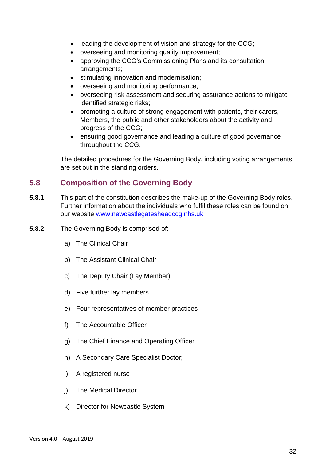- leading the development of vision and strategy for the CCG;
- overseeing and monitoring quality improvement;
- approving the CCG's Commissioning Plans and its consultation arrangements;
- stimulating innovation and modernisation;
- overseeing and monitoring performance;
- overseeing risk assessment and securing assurance actions to mitigate identified strategic risks:
- promoting a culture of strong engagement with patients, their carers, Members, the public and other stakeholders about the activity and progress of the CCG;
- ensuring good governance and leading a culture of good governance throughout the CCG.

The detailed procedures for the Governing Body, including voting arrangements, are set out in the standing orders.

## <span id="page-31-0"></span>**5.8 Composition of the Governing Body**

- **5.8.1** This part of the constitution describes the make-up of the Governing Body roles. Further information about the individuals who fulfil these roles can be found on our website [www.newcastlegatesheadccg.nhs.uk](http://www.newcastlegatesheadccg.nhs.uk/)
- **5.8.2** The Governing Body is comprised of:
	- a) The Clinical Chair
	- b) The Assistant Clinical Chair
	- c) The Deputy Chair (Lay Member)
	- d) Five further lay members
	- e) Four representatives of member practices
	- f) The Accountable Officer
	- g) The Chief Finance and Operating Officer
	- h) A Secondary Care Specialist Doctor;
	- i) A registered nurse
	- j) The Medical Director
	- k) Director for Newcastle System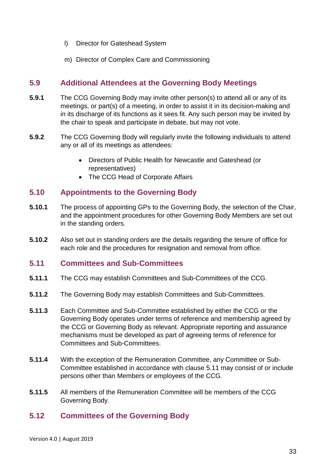- l) Director for Gateshead System
- m) Director of Complex Care and Commissioning

## <span id="page-32-0"></span>**5.9 Additional Attendees at the Governing Body Meetings**

- **5.9.1** The CCG Governing Body may invite other person(s) to attend all or any of its meetings, or part(s) of a meeting, in order to assist it in its decision-making and in its discharge of its functions as it sees fit. Any such person may be invited by the chair to speak and participate in debate, but may not vote.
- **5.9.2** The CCG Governing Body will regularly invite the following individuals to attend any or all of its meetings as attendees:
	- Directors of Public Health for Newcastle and Gateshead (or representatives)
	- The CCG Head of Corporate Affairs

## <span id="page-32-1"></span>**5.10 Appointments to the Governing Body**

- **5.10.1** The process of appointing GPs to the Governing Body, the selection of the Chair, and the appointment procedures for other Governing Body Members are set out in the standing orders.
- **5.10.2** Also set out in standing orders are the details regarding the tenure of office for each role and the procedures for resignation and removal from office.

#### <span id="page-32-2"></span>**5.11 Committees and Sub-Committees**

- **5.11.1** The CCG may establish Committees and Sub-Committees of the CCG.
- **5.11.2** The Governing Body may establish Committees and Sub-Committees.
- **5.11.3** Each Committee and Sub-Committee established by either the CCG or the Governing Body operates under terms of reference and membership agreed by the CCG or Governing Body as relevant. Appropriate reporting and assurance mechanisms must be developed as part of agreeing terms of reference for Committees and Sub-Committees.
- **5.11.4** With the exception of the Remuneration Committee, any Committee or Sub-Committee established in accordance with clause 5.11 may consist of or include persons other than Members or employees of the CCG.
- **5.11.5** All members of the Remuneration Committee will be members of the CCG Governing Body.

## <span id="page-32-3"></span>**5.12 Committees of the Governing Body**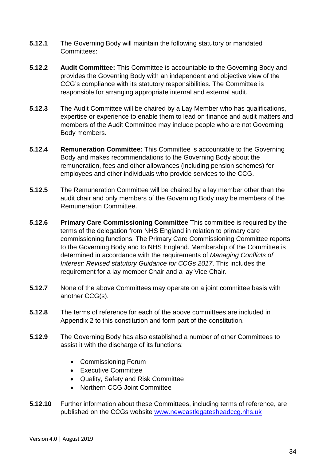- **5.12.1** The Governing Body will maintain the following statutory or mandated Committees:
- **5.12.2 Audit Committee:** This Committee is accountable to the Governing Body and provides the Governing Body with an independent and objective view of the CCG's compliance with its statutory responsibilities. The Committee is responsible for arranging appropriate internal and external audit.
- **5.12.3** The Audit Committee will be chaired by a Lay Member who has qualifications, expertise or experience to enable them to lead on finance and audit matters and members of the Audit Committee may include people who are not Governing Body members.
- **5.12.4 Remuneration Committee:** This Committee is accountable to the Governing Body and makes recommendations to the Governing Body about the remuneration, fees and other allowances (including pension schemes) for employees and other individuals who provide services to the CCG.
- **5.12.5** The Remuneration Committee will be chaired by a lay member other than the audit chair and only members of the Governing Body may be members of the Remuneration Committee.
- **5.12.6 Primary Care Commissioning Committee** This committee is required by the terms of the delegation from NHS England in relation to primary care commissioning functions. The Primary Care Commissioning Committee reports to the Governing Body and to NHS England. Membership of the Committee is determined in accordance with the requirements of *Managing Conflicts of Interest: Revised statutory Guidance for CCGs 2017*. This includes the requirement for a lay member Chair and a lay Vice Chair.
- **5.12.7** None of the above Committees may operate on a joint committee basis with another CCG(s).
- **5.12.8** The terms of reference for each of the above committees are included in Appendix 2 to this constitution and form part of the constitution.
- **5.12.9** The Governing Body has also established a number of other Committees to assist it with the discharge of its functions:
	- Commissioning Forum
	- Executive Committee
	- Quality, Safety and Risk Committee
	- Northern CCG Joint Committee
- **5.12.10** Further information about these Committees, including terms of reference, are published on the CCGs website [www.newcastlegatesheadccg.nhs.uk](http://www.newcastlegatesheadccg.nhs.uk/)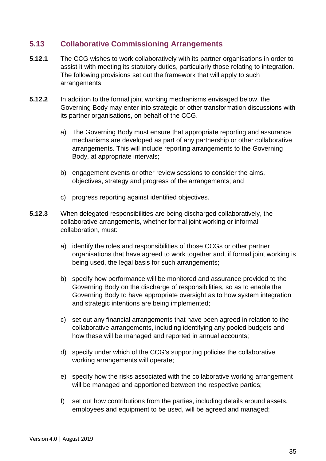## <span id="page-34-0"></span>**5.13 Collaborative Commissioning Arrangements**

- **5.12.1** The CCG wishes to work collaboratively with its partner organisations in order to assist it with meeting its statutory duties, particularly those relating to integration. The following provisions set out the framework that will apply to such arrangements.
- **5.12.2** In addition to the formal joint working mechanisms envisaged below, the Governing Body may enter into strategic or other transformation discussions with its partner organisations, on behalf of the CCG.
	- a) The Governing Body must ensure that appropriate reporting and assurance mechanisms are developed as part of any partnership or other collaborative arrangements. This will include reporting arrangements to the Governing Body, at appropriate intervals;
	- b) engagement events or other review sessions to consider the aims, objectives, strategy and progress of the arrangements; and
	- c) progress reporting against identified objectives.
- **5.12.3** When delegated responsibilities are being discharged collaboratively, the collaborative arrangements, whether formal joint working or informal collaboration, must:
	- a) identify the roles and responsibilities of those CCGs or other partner organisations that have agreed to work together and, if formal joint working is being used, the legal basis for such arrangements;
	- b) specify how performance will be monitored and assurance provided to the Governing Body on the discharge of responsibilities, so as to enable the Governing Body to have appropriate oversight as to how system integration and strategic intentions are being implemented;
	- c) set out any financial arrangements that have been agreed in relation to the collaborative arrangements, including identifying any pooled budgets and how these will be managed and reported in annual accounts;
	- d) specify under which of the CCG's supporting policies the collaborative working arrangements will operate;
	- e) specify how the risks associated with the collaborative working arrangement will be managed and apportioned between the respective parties;
	- f) set out how contributions from the parties, including details around assets, employees and equipment to be used, will be agreed and managed;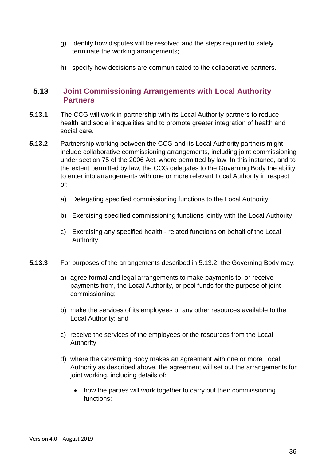- g) identify how disputes will be resolved and the steps required to safely terminate the working arrangements;
- h) specify how decisions are communicated to the collaborative partners.

## <span id="page-35-0"></span>**5.13 Joint Commissioning Arrangements with Local Authority Partners**

- **5.13.1** The CCG will work in partnership with its Local Authority partners to reduce health and social inequalities and to promote greater integration of health and social care.
- **5.13.2** Partnership working between the CCG and its Local Authority partners might include collaborative commissioning arrangements, including joint commissioning under section 75 of the 2006 Act, where permitted by law. In this instance, and to the extent permitted by law, the CCG delegates to the Governing Body the ability to enter into arrangements with one or more relevant Local Authority in respect of:
	- a) Delegating specified commissioning functions to the Local Authority;
	- b) Exercising specified commissioning functions jointly with the Local Authority;
	- c) Exercising any specified health related functions on behalf of the Local Authority.
- **5.13.3** For purposes of the arrangements described in 5.13.2, the Governing Body may:
	- a) agree formal and legal arrangements to make payments to, or receive payments from, the Local Authority, or pool funds for the purpose of joint commissioning;
	- b) make the services of its employees or any other resources available to the Local Authority; and
	- c) receive the services of the employees or the resources from the Local Authority
	- d) where the Governing Body makes an agreement with one or more Local Authority as described above, the agreement will set out the arrangements for joint working, including details of:
		- how the parties will work together to carry out their commissioning functions;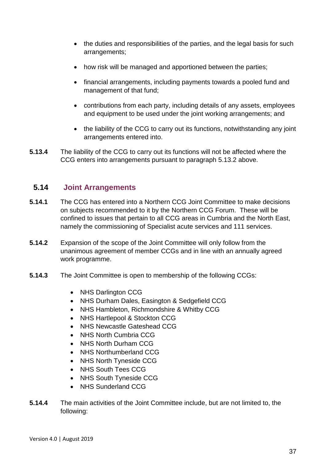- the duties and responsibilities of the parties, and the legal basis for such arrangements;
- how risk will be managed and apportioned between the parties;
- financial arrangements, including payments towards a pooled fund and management of that fund;
- contributions from each party, including details of any assets, employees and equipment to be used under the joint working arrangements; and
- the liability of the CCG to carry out its functions, notwithstanding any joint arrangements entered into.
- **5.13.4** The liability of the CCG to carry out its functions will not be affected where the CCG enters into arrangements pursuant to paragraph 5.13.2 above.

#### **5.14 Joint Arrangements**

- **5.14.1** The CCG has entered into a Northern CCG Joint Committee to make decisions on subjects recommended to it by the Northern CCG Forum. These will be confined to issues that pertain to all CCG areas in Cumbria and the North East, namely the commissioning of Specialist acute services and 111 services.
- **5.14.2** Expansion of the scope of the Joint Committee will only follow from the unanimous agreement of member CCGs and in line with an annually agreed work programme.
- **5.14.3** The Joint Committee is open to membership of the following CCGs:
	- NHS Darlington CCG
	- NHS Durham Dales, Easington & Sedgefield CCG
	- NHS Hambleton, Richmondshire & Whitby CCG
	- NHS Hartlepool & Stockton CCG
	- NHS Newcastle Gateshead CCG
	- NHS North Cumbria CCG
	- NHS North Durham CCG
	- NHS Northumberland CCG
	- NHS North Tyneside CCG
	- NHS South Tees CCG
	- NHS South Tyneside CCG
	- NHS Sunderland CCG
- **5.14.4** The main activities of the Joint Committee include, but are not limited to, the following: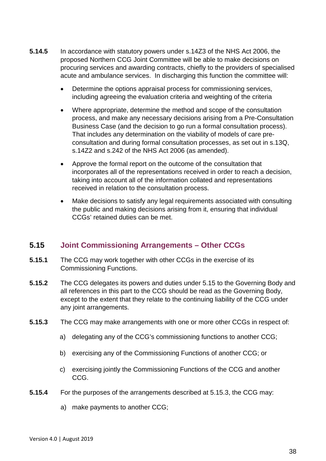- **5.14.5** In accordance with statutory powers under s.14Z3 of the NHS Act 2006, the proposed Northern CCG Joint Committee will be able to make decisions on procuring services and awarding contracts, chiefly to the providers of specialised acute and ambulance services. In discharging this function the committee will:
	- Determine the options appraisal process for commissioning services, including agreeing the evaluation criteria and weighting of the criteria
	- Where appropriate, determine the method and scope of the consultation process, and make any necessary decisions arising from a Pre-Consultation Business Case (and the decision to go run a formal consultation process). That includes any determination on the viability of models of care preconsultation and during formal consultation processes, as set out in s.13Q, s.14Z2 and s.242 of the NHS Act 2006 (as amended).
	- Approve the formal report on the outcome of the consultation that incorporates all of the representations received in order to reach a decision, taking into account all of the information collated and representations received in relation to the consultation process.
	- Make decisions to satisfy any legal requirements associated with consulting the public and making decisions arising from it, ensuring that individual CCGs' retained duties can be met.

## **5.15 Joint Commissioning Arrangements – Other CCGs**

- <span id="page-37-0"></span>**5.15.1** The CCG may work together with other CCGs in the exercise of its Commissioning Functions.
- **5.15.2** The CCG delegates its powers and duties under 5.15 to the Governing Body and all references in this part to the CCG should be read as the Governing Body, except to the extent that they relate to the continuing liability of the CCG under any joint arrangements.
- **5.15.3** The CCG may make arrangements with one or more other CCGs in respect of:
	- a) delegating any of the CCG's commissioning functions to another CCG;
	- b) exercising any of the Commissioning Functions of another CCG; or
	- c) exercising jointly the Commissioning Functions of the CCG and another CCG.
- **5.15.4** For the purposes of the arrangements described at 5.15.3, the CCG may:
	- a) make payments to another CCG;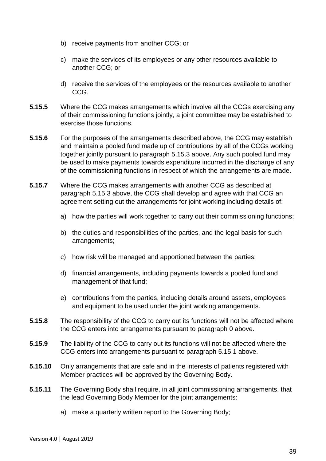- b) receive payments from another CCG; or
- c) make the services of its employees or any other resources available to another CCG; or
- d) receive the services of the employees or the resources available to another CCG.
- **5.15.5** Where the CCG makes arrangements which involve all the CCGs exercising any of their commissioning functions jointly, a joint committee may be established to exercise those functions.
- **5.15.6** For the purposes of the arrangements described above, the CCG may establish and maintain a pooled fund made up of contributions by all of the CCGs working together jointly pursuant to paragraph 5.15.3 above. Any such pooled fund may be used to make payments towards expenditure incurred in the discharge of any of the commissioning functions in respect of which the arrangements are made.
- **5.15.7** Where the CCG makes arrangements with another CCG as described at paragraph 5.15.3 above, the CCG shall develop and agree with that CCG an agreement setting out the arrangements for joint working including details of:
	- a) how the parties will work together to carry out their commissioning functions;
	- b) the duties and responsibilities of the parties, and the legal basis for such arrangements;
	- c) how risk will be managed and apportioned between the parties;
	- d) financial arrangements, including payments towards a pooled fund and management of that fund;
	- e) contributions from the parties, including details around assets, employees and equipment to be used under the joint working arrangements.
- **5.15.8** The responsibility of the CCG to carry out its functions will not be affected where the CCG enters into arrangements pursuant to paragraph [0](#page-37-0) above.
- **5.15.9** The liability of the CCG to carry out its functions will not be affected where the CCG enters into arrangements pursuant to paragraph 5.15.1 above.
- **5.15.10** Only arrangements that are safe and in the interests of patients registered with Member practices will be approved by the Governing Body.
- **5.15.11** The Governing Body shall require, in all joint commissioning arrangements, that the lead Governing Body Member for the joint arrangements:
	- a) make a quarterly written report to the Governing Body;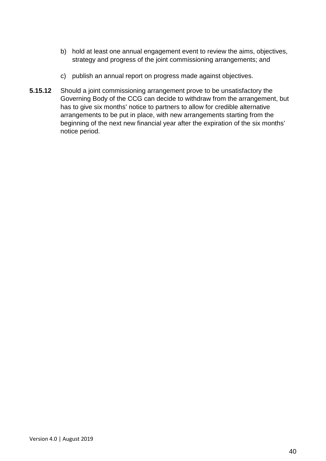- b) hold at least one annual engagement event to review the aims, objectives, strategy and progress of the joint commissioning arrangements; and
- c) publish an annual report on progress made against objectives.
- **5.15.12** Should a joint commissioning arrangement prove to be unsatisfactory the Governing Body of the CCG can decide to withdraw from the arrangement, but has to give six months' notice to partners to allow for credible alternative arrangements to be put in place, with new arrangements starting from the beginning of the next new financial year after the expiration of the six months' notice period.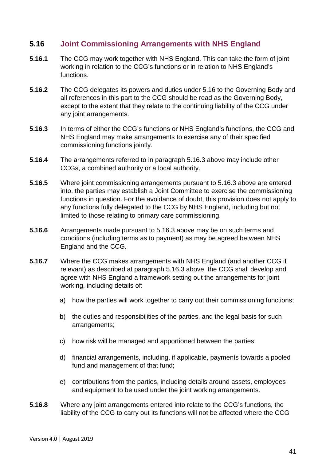#### **5.16 Joint Commissioning Arrangements with NHS England**

- **5.16.1** The CCG may work together with NHS England. This can take the form of joint working in relation to the CCG's functions or in relation to NHS England's functions.
- **5.16.2** The CCG delegates its powers and duties under 5.16 to the Governing Body and all references in this part to the CCG should be read as the Governing Body, except to the extent that they relate to the continuing liability of the CCG under any joint arrangements.
- **5.16.3** In terms of either the CCG's functions or NHS England's functions, the CCG and NHS England may make arrangements to exercise any of their specified commissioning functions jointly.
- **5.16.4** The arrangements referred to in paragraph 5.16.3 above may include other CCGs, a combined authority or a local authority.
- **5.16.5** Where joint commissioning arrangements pursuant to 5.16.3 above are entered into, the parties may establish a Joint Committee to exercise the commissioning functions in question. For the avoidance of doubt, this provision does not apply to any functions fully delegated to the CCG by NHS England, including but not limited to those relating to primary care commissioning.
- **5.16.6** Arrangements made pursuant to 5.16.3 above may be on such terms and conditions (including terms as to payment) as may be agreed between NHS England and the CCG.
- **5.16.7** Where the CCG makes arrangements with NHS England (and another CCG if relevant) as described at paragraph 5.16.3 above, the CCG shall develop and agree with NHS England a framework setting out the arrangements for joint working, including details of:
	- a) how the parties will work together to carry out their commissioning functions;
	- b) the duties and responsibilities of the parties, and the legal basis for such arrangements;
	- c) how risk will be managed and apportioned between the parties;
	- d) financial arrangements, including, if applicable, payments towards a pooled fund and management of that fund;
	- e) contributions from the parties, including details around assets, employees and equipment to be used under the joint working arrangements.
- **5.16.8** Where any joint arrangements entered into relate to the CCG's functions, the liability of the CCG to carry out its functions will not be affected where the CCG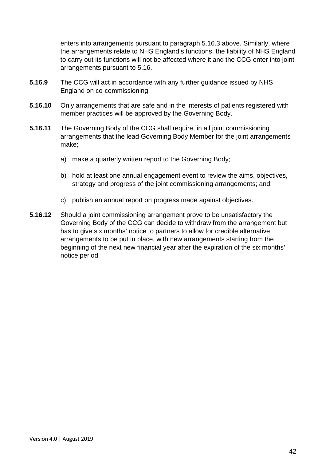enters into arrangements pursuant to paragraph 5.16.3 above. Similarly, where the arrangements relate to NHS England's functions, the liability of NHS England to carry out its functions will not be affected where it and the CCG enter into joint arrangements pursuant to 5.16.

- **5.16.9** The CCG will act in accordance with any further guidance issued by NHS England on co-commissioning.
- **5.16.10** Only arrangements that are safe and in the interests of patients registered with member practices will be approved by the Governing Body.
- **5.16.11** The Governing Body of the CCG shall require, in all joint commissioning arrangements that the lead Governing Body Member for the joint arrangements make;
	- a) make a quarterly written report to the Governing Body;
	- b) hold at least one annual engagement event to review the aims, objectives, strategy and progress of the joint commissioning arrangements; and
	- c) publish an annual report on progress made against objectives.
- **5.16.12** Should a joint commissioning arrangement prove to be unsatisfactory the Governing Body of the CCG can decide to withdraw from the arrangement but has to give six months' notice to partners to allow for credible alternative arrangements to be put in place, with new arrangements starting from the beginning of the next new financial year after the expiration of the six months' notice period.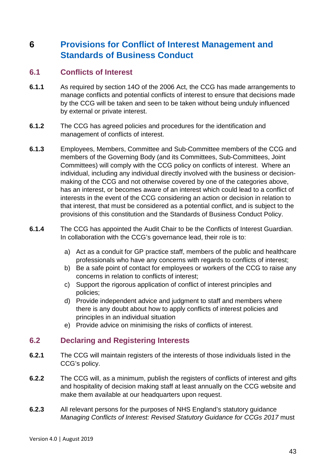# **6 Provisions for Conflict of Interest Management and Standards of Business Conduct**

#### **6.1 Conflicts of Interest**

- **6.1.1** As required by section 14O of the 2006 Act, the CCG has made arrangements to manage conflicts and potential conflicts of interest to ensure that decisions made by the CCG will be taken and seen to be taken without being unduly influenced by external or private interest.
- **6.1.2** The CCG has agreed policies and procedures for the identification and management of conflicts of interest.
- **6.1.3** Employees, Members, Committee and Sub-Committee members of the CCG and members of the Governing Body (and its Committees, Sub-Committees, Joint Committees) will comply with the CCG policy on conflicts of interest. Where an individual, including any individual directly involved with the business or decisionmaking of the CCG and not otherwise covered by one of the categories above, has an interest, or becomes aware of an interest which could lead to a conflict of interests in the event of the CCG considering an action or decision in relation to that interest, that must be considered as a potential conflict, and is subject to the provisions of this constitution and the Standards of Business Conduct Policy.
- **6.1.4** The CCG has appointed the Audit Chair to be the Conflicts of Interest Guardian. In collaboration with the CCG's governance lead, their role is to:
	- a) Act as a conduit for GP practice staff, members of the public and healthcare professionals who have any concerns with regards to conflicts of interest;
	- b) Be a safe point of contact for employees or workers of the CCG to raise any concerns in relation to conflicts of interest;
	- c) Support the rigorous application of conflict of interest principles and policies;
	- d) Provide independent advice and judgment to staff and members where there is any doubt about how to apply conflicts of interest policies and principles in an individual situation
	- e) Provide advice on minimising the risks of conflicts of interest.

#### **6.2 Declaring and Registering Interests**

- **6.2.1** The CCG will maintain registers of the interests of those individuals listed in the CCG's policy.
- **6.2.2** The CCG will, as a minimum, publish the registers of conflicts of interest and gifts and hospitality of decision making staff at least annually on the CCG website and make them available at our headquarters upon request.
- **6.2.3** All relevant persons for the purposes of NHS England's statutory guidance *Managing Conflicts of Interest: Revised Statutory Guidance for CCGs 2017* must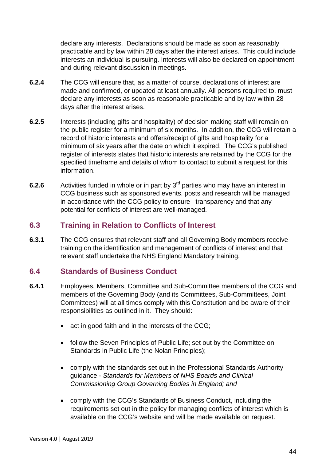declare any interests. Declarations should be made as soon as reasonably practicable and by law within 28 days after the interest arises. This could include interests an individual is pursuing. Interests will also be declared on appointment and during relevant discussion in meetings.

- **6.2.4** The CCG will ensure that, as a matter of course, declarations of interest are made and confirmed, or updated at least annually. All persons required to, must declare any interests as soon as reasonable practicable and by law within 28 days after the interest arises.
- **6.2.5** Interests (including gifts and hospitality) of decision making staff will remain on the public register for a minimum of six months. In addition, the CCG will retain a record of historic interests and offers/receipt of gifts and hospitality for a minimum of six years after the date on which it expired. The CCG's published register of interests states that historic interests are retained by the CCG for the specified timeframe and details of whom to contact to submit a request for this information.
- **6.2.6** Activities funded in whole or in part by 3<sup>rd</sup> parties who may have an interest in CCG business such as sponsored events, posts and research will be managed in accordance with the CCG policy to ensure transparency and that any potential for conflicts of interest are well-managed.

#### **6.3 Training in Relation to Conflicts of Interest**

**6.3.1** The CCG ensures that relevant staff and all Governing Body members receive training on the identification and management of conflicts of interest and that relevant staff undertake the NHS England Mandatory training.

#### **6.4 Standards of Business Conduct**

- **6.4.1** Employees, Members, Committee and Sub-Committee members of the CCG and members of the Governing Body (and its Committees, Sub-Committees, Joint Committees) will at all times comply with this Constitution and be aware of their responsibilities as outlined in it. They should:
	- act in good faith and in the interests of the CCG;
	- follow the Seven Principles of Public Life; set out by the Committee on Standards in Public Life (the Nolan Principles);
	- comply with the standards set out in the Professional Standards Authority guidance - *Standards for Members of NHS Boards and Clinical Commissioning Group Governing Bodies in England; and*
	- comply with the CCG's Standards of Business Conduct, including the requirements set out in the policy for managing conflicts of interest which is available on the CCG's website and will be made available on request.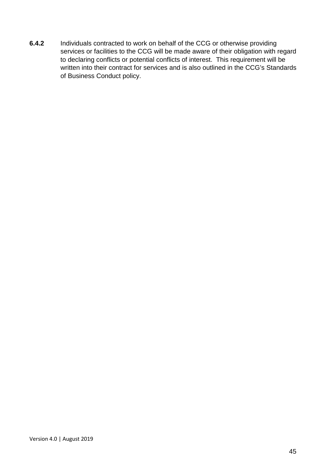**6.4.2** Individuals contracted to work on behalf of the CCG or otherwise providing services or facilities to the CCG will be made aware of their obligation with regard to declaring conflicts or potential conflicts of interest. This requirement will be written into their contract for services and is also outlined in the CCG's Standards of Business Conduct policy.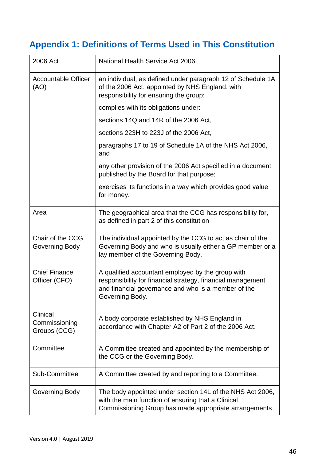# **Appendix 1: Definitions of Terms Used in This Constitution**

| 2006 Act                                  | <b>National Health Service Act 2006</b>                                                                                                                                                    |
|-------------------------------------------|--------------------------------------------------------------------------------------------------------------------------------------------------------------------------------------------|
| <b>Accountable Officer</b><br>(AO)        | an individual, as defined under paragraph 12 of Schedule 1A<br>of the 2006 Act, appointed by NHS England, with<br>responsibility for ensuring the group:                                   |
|                                           | complies with its obligations under:                                                                                                                                                       |
|                                           | sections 14Q and 14R of the 2006 Act,                                                                                                                                                      |
|                                           | sections 223H to 223J of the 2006 Act,                                                                                                                                                     |
|                                           | paragraphs 17 to 19 of Schedule 1A of the NHS Act 2006,<br>and                                                                                                                             |
|                                           | any other provision of the 2006 Act specified in a document<br>published by the Board for that purpose;                                                                                    |
|                                           | exercises its functions in a way which provides good value<br>for money.                                                                                                                   |
| Area                                      | The geographical area that the CCG has responsibility for,<br>as defined in part 2 of this constitution                                                                                    |
| Chair of the CCG<br>Governing Body        | The individual appointed by the CCG to act as chair of the<br>Governing Body and who is usually either a GP member or a<br>lay member of the Governing Body.                               |
| <b>Chief Finance</b><br>Officer (CFO)     | A qualified accountant employed by the group with<br>responsibility for financial strategy, financial management<br>and financial governance and who is a member of the<br>Governing Body. |
| Clinical<br>Commissioning<br>Groups (CCG) | A body corporate established by NHS England in<br>accordance with Chapter A2 of Part 2 of the 2006 Act.                                                                                    |
| Committee                                 | A Committee created and appointed by the membership of<br>the CCG or the Governing Body.                                                                                                   |
| Sub-Committee                             | A Committee created by and reporting to a Committee.                                                                                                                                       |
| Governing Body                            | The body appointed under section 14L of the NHS Act 2006,<br>with the main function of ensuring that a Clinical<br>Commissioning Group has made appropriate arrangements                   |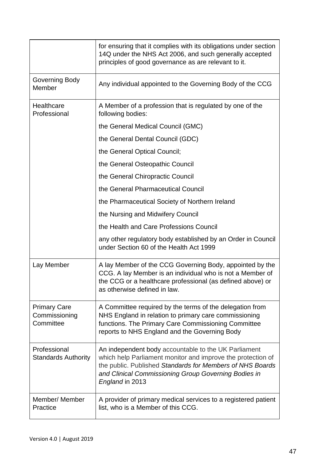|                                                   | for ensuring that it complies with its obligations under section<br>14Q under the NHS Act 2006, and such generally accepted<br>principles of good governance as are relevant to it.                                                                         |
|---------------------------------------------------|-------------------------------------------------------------------------------------------------------------------------------------------------------------------------------------------------------------------------------------------------------------|
| Governing Body<br>Member                          | Any individual appointed to the Governing Body of the CCG                                                                                                                                                                                                   |
| Healthcare<br>Professional                        | A Member of a profession that is regulated by one of the<br>following bodies:                                                                                                                                                                               |
|                                                   | the General Medical Council (GMC)                                                                                                                                                                                                                           |
|                                                   | the General Dental Council (GDC)                                                                                                                                                                                                                            |
|                                                   | the General Optical Council;                                                                                                                                                                                                                                |
|                                                   | the General Osteopathic Council                                                                                                                                                                                                                             |
|                                                   | the General Chiropractic Council                                                                                                                                                                                                                            |
|                                                   | the General Pharmaceutical Council                                                                                                                                                                                                                          |
|                                                   | the Pharmaceutical Society of Northern Ireland                                                                                                                                                                                                              |
|                                                   | the Nursing and Midwifery Council                                                                                                                                                                                                                           |
|                                                   | the Health and Care Professions Council                                                                                                                                                                                                                     |
|                                                   | any other regulatory body established by an Order in Council<br>under Section 60 of the Health Act 1999                                                                                                                                                     |
| Lay Member                                        | A lay Member of the CCG Governing Body, appointed by the<br>CCG. A lay Member is an individual who is not a Member of<br>the CCG or a healthcare professional (as defined above) or<br>as otherwise defined in law.                                         |
| <b>Primary Care</b><br>Commissioning<br>Committee | A Committee required by the terms of the delegation from<br>NHS England in relation to primary care commissioning<br>functions. The Primary Care Commissioning Committee<br>reports to NHS England and the Governing Body                                   |
| Professional<br><b>Standards Authority</b>        | An independent body accountable to the UK Parliament<br>which help Parliament monitor and improve the protection of<br>the public. Published Standards for Members of NHS Boards<br>and Clinical Commissioning Group Governing Bodies in<br>England in 2013 |
| Member/ Member<br>Practice                        | A provider of primary medical services to a registered patient<br>list, who is a Member of this CCG.                                                                                                                                                        |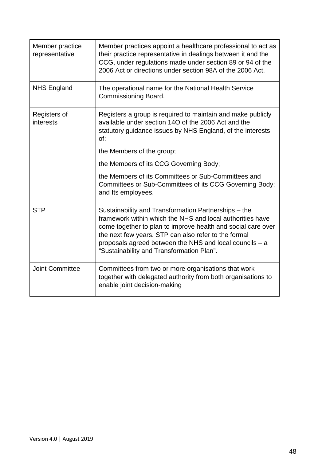| Member practice<br>representative | Member practices appoint a healthcare professional to act as<br>their practice representative in dealings between it and the<br>CCG, under regulations made under section 89 or 94 of the<br>2006 Act or directions under section 98A of the 2006 Act.                                                                                            |
|-----------------------------------|---------------------------------------------------------------------------------------------------------------------------------------------------------------------------------------------------------------------------------------------------------------------------------------------------------------------------------------------------|
| <b>NHS England</b>                | The operational name for the National Health Service<br>Commissioning Board.                                                                                                                                                                                                                                                                      |
| Registers of<br>interests         | Registers a group is required to maintain and make publicly<br>available under section 14O of the 2006 Act and the<br>statutory guidance issues by NHS England, of the interests<br>Of:                                                                                                                                                           |
|                                   | the Members of the group;                                                                                                                                                                                                                                                                                                                         |
|                                   | the Members of its CCG Governing Body;                                                                                                                                                                                                                                                                                                            |
|                                   | the Members of its Committees or Sub-Committees and<br>Committees or Sub-Committees of its CCG Governing Body;<br>and Its employees.                                                                                                                                                                                                              |
| <b>STP</b>                        | Sustainability and Transformation Partnerships – the<br>framework within which the NHS and local authorities have<br>come together to plan to improve health and social care over<br>the next few years. STP can also refer to the formal<br>proposals agreed between the NHS and local councils - a<br>"Sustainability and Transformation Plan". |
| <b>Joint Committee</b>            | Committees from two or more organisations that work<br>together with delegated authority from both organisations to<br>enable joint decision-making                                                                                                                                                                                               |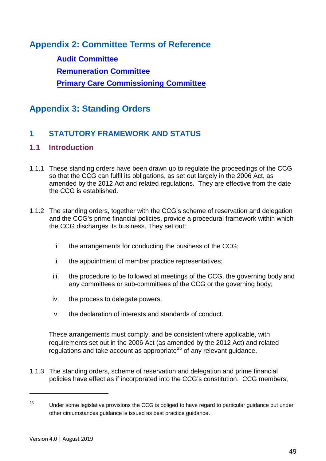**Appendix 2: Committee Terms of Reference**

**[Audit Committee](https://www.newcastlegatesheadccg.nhs.uk/wp-content/uploads/2017/04/NGCCG-Audit-Committee-Terms-of-Reference-v4-July-2019.pdf) [Remuneration Committee](https://www.newcastlegatesheadccg.nhs.uk/wp-content/uploads/2017/01/NGCCG-Remuneration-Committee-Terms-of-Reference-January-2019.pdf) [Primary Care Commissioning Committee](https://www.newcastlegatesheadccg.nhs.uk/wp-content/uploads/2017/04/NGCCG-Primary-Care-Commissioning-Committee-Terms-of-Reference-V3-July-2019.pdf)**

# **Appendix 3: Standing Orders**

## **1 STATUTORY FRAMEWORK AND STATUS**

#### **1.1 Introduction**

- 1.1.1 These standing orders have been drawn up to regulate the proceedings of the CCG so that the CCG can fulfil its obligations, as set out largely in the 2006 Act, as amended by the 2012 Act and related regulations. They are effective from the date the CCG is established.
- 1.1.2 The standing orders, together with the CCG's scheme of reservation and delegation and the CCG's prime financial policies, provide a procedural framework within which the CCG discharges its business. They set out:
	- i. the arrangements for conducting the business of the CCG;
	- ii. the appointment of member practice representatives;
	- iii. the procedure to be followed at meetings of the CCG, the governing body and any committees or sub-committees of the CCG or the governing body;
	- iv. the process to delegate powers,
	- v. the declaration of interests and standards of conduct.

These arrangements must comply, and be consistent where applicable, with requirements set out in the 2006 Act (as amended by the 2012 Act) and related regulations and take account as appropriate<sup>[25](#page-48-0)</sup> of any relevant guidance.

1.1.3 The standing orders, scheme of reservation and delegation and prime financial policies have effect as if incorporated into the CCG's constitution. CCG members,

 $\overline{a}$ 

<span id="page-48-0"></span><sup>&</sup>lt;sup>25</sup> Under some legislative provisions the CCG is obliged to have regard to particular guidance but under other circumstances guidance is issued as best practice guidance.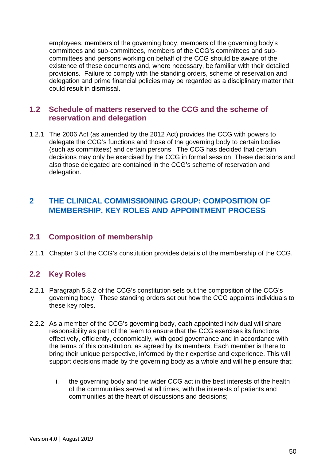employees, members of the governing body, members of the governing body's committees and sub-committees, members of the CCG's committees and subcommittees and persons working on behalf of the CCG should be aware of the existence of these documents and, where necessary, be familiar with their detailed provisions. Failure to comply with the standing orders, scheme of reservation and delegation and prime financial policies may be regarded as a disciplinary matter that could result in dismissal.

#### **1.2 Schedule of matters reserved to the CCG and the scheme of reservation and delegation**

1.2.1 The 2006 Act (as amended by the 2012 Act) provides the CCG with powers to delegate the CCG's functions and those of the governing body to certain bodies (such as committees) and certain persons. The CCG has decided that certain decisions may only be exercised by the CCG in formal session. These decisions and also those delegated are contained in the CCG's scheme of reservation and delegation.

## **2 THE CLINICAL COMMISSIONING GROUP: COMPOSITION OF MEMBERSHIP, KEY ROLES AND APPOINTMENT PROCESS**

#### **2.1 Composition of membership**

2.1.1 Chapter 3 of the CCG's constitution provides details of the membership of the CCG.

## **2.2 Key Roles**

- 2.2.1 Paragraph 5.8.2 of the CCG's constitution sets out the composition of the CCG's governing body. These standing orders set out how the CCG appoints individuals to these key roles.
- 2.2.2 As a member of the CCG's governing body, each appointed individual will share responsibility as part of the team to ensure that the CCG exercises its functions effectively, efficiently, economically, with good governance and in accordance with the terms of this constitution, as agreed by its members. Each member is there to bring their unique perspective, informed by their expertise and experience. This will support decisions made by the governing body as a whole and will help ensure that:
	- i. the governing body and the wider CCG act in the best interests of the health of the communities served at all times, with the interests of patients and communities at the heart of discussions and decisions;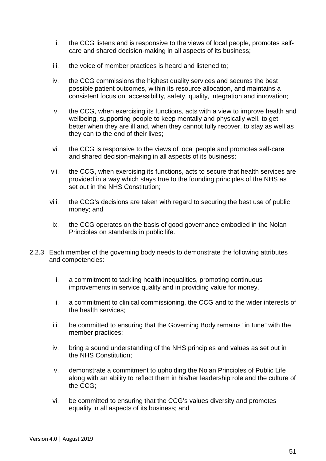- ii. the CCG listens and is responsive to the views of local people, promotes selfcare and shared decision-making in all aspects of its business;
- iii. the voice of member practices is heard and listened to;
- iv. the CCG commissions the highest quality services and secures the best possible patient outcomes, within its resource allocation, and maintains a consistent focus on accessibility, safety, quality, integration and innovation;
- v. the CCG, when exercising its functions, acts with a view to improve health and wellbeing, supporting people to keep mentally and physically well, to get better when they are ill and, when they cannot fully recover, to stay as well as they can to the end of their lives;
- vi. the CCG is responsive to the views of local people and promotes self-care and shared decision-making in all aspects of its business;
- vii. the CCG, when exercising its functions, acts to secure that health services are provided in a way which stays true to the founding principles of the NHS as set out in the NHS Constitution;
- viii. the CCG's decisions are taken with regard to securing the best use of public money; and
- ix. the CCG operates on the basis of good governance embodied in the Nolan Principles on standards in public life.
- 2.2.3 Each member of the governing body needs to demonstrate the following attributes and competencies:
	- i. a commitment to tackling health inequalities, promoting continuous improvements in service quality and in providing value for money.
	- ii. a commitment to clinical commissioning, the CCG and to the wider interests of the health services;
	- iii. be committed to ensuring that the Governing Body remains "in tune" with the member practices;
	- iv. bring a sound understanding of the NHS principles and values as set out in the NHS Constitution;
	- v. demonstrate a commitment to upholding the Nolan Principles of Public Life along with an ability to reflect them in his/her leadership role and the culture of the CCG;
	- vi. be committed to ensuring that the CCG's values diversity and promotes equality in all aspects of its business; and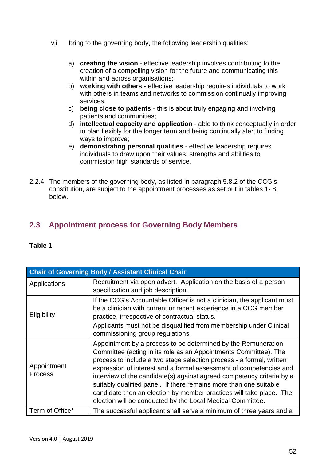- vii. bring to the governing body, the following leadership qualities:
	- a) **creating the vision** effective leadership involves contributing to the creation of a compelling vision for the future and communicating this within and across organisations;
	- b) **working with others** effective leadership requires individuals to work with others in teams and networks to commission continually improving services;
	- c) **being close to patients** this is about truly engaging and involving patients and communities;
	- d) **intellectual capacity and application** able to think conceptually in order to plan flexibly for the longer term and being continually alert to finding ways to improve;
	- e) **demonstrating personal qualities** effective leadership requires individuals to draw upon their values, strengths and abilities to commission high standards of service.
- 2.2.4 The members of the governing body, as listed in paragraph 5.8.2 of the CCG's constitution, are subject to the appointment processes as set out in tables 1- 8, below.

## **2.3 Appointment process for Governing Body Members**

| <b>Chair of Governing Body / Assistant Clinical Chair</b> |                                                                                                                                                                                                                                                                                                                                                                                                                                                                                                                                                                    |  |
|-----------------------------------------------------------|--------------------------------------------------------------------------------------------------------------------------------------------------------------------------------------------------------------------------------------------------------------------------------------------------------------------------------------------------------------------------------------------------------------------------------------------------------------------------------------------------------------------------------------------------------------------|--|
| Applications                                              | Recruitment via open advert. Application on the basis of a person<br>specification and job description.                                                                                                                                                                                                                                                                                                                                                                                                                                                            |  |
| Eligibility                                               | If the CCG's Accountable Officer is not a clinician, the applicant must<br>be a clinician with current or recent experience in a CCG member<br>practice, irrespective of contractual status.<br>Applicants must not be disqualified from membership under Clinical<br>commissioning group regulations.                                                                                                                                                                                                                                                             |  |
| Appointment<br><b>Process</b>                             | Appointment by a process to be determined by the Remuneration<br>Committee (acting in its role as an Appointments Committee). The<br>process to include a two stage selection process - a formal, written<br>expression of interest and a formal assessment of competencies and<br>interview of the candidate(s) against agreed competency criteria by a<br>suitably qualified panel. If there remains more than one suitable<br>candidate then an election by member practices will take place. The<br>election will be conducted by the Local Medical Committee. |  |
| Term of Office*                                           | The successful applicant shall serve a minimum of three years and a                                                                                                                                                                                                                                                                                                                                                                                                                                                                                                |  |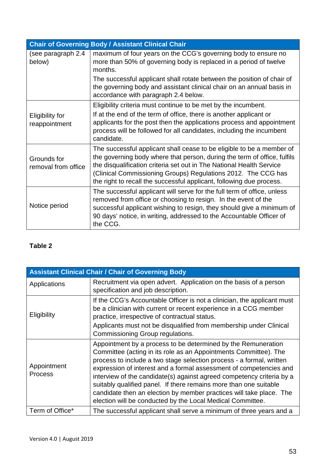|                                         | <b>Chair of Governing Body / Assistant Clinical Chair</b>                                                                                                                                                                                                                                                                                                          |
|-----------------------------------------|--------------------------------------------------------------------------------------------------------------------------------------------------------------------------------------------------------------------------------------------------------------------------------------------------------------------------------------------------------------------|
| (see paragraph 2.4<br>below)            | maximum of four years on the CCG's governing body to ensure no<br>more than 50% of governing body is replaced in a period of twelve<br>months.                                                                                                                                                                                                                     |
|                                         | The successful applicant shall rotate between the position of chair of<br>the governing body and assistant clinical chair on an annual basis in<br>accordance with paragraph 2.4 below.                                                                                                                                                                            |
|                                         | Eligibility criteria must continue to be met by the incumbent.                                                                                                                                                                                                                                                                                                     |
| <b>Eligibility for</b><br>reappointment | If at the end of the term of office, there is another applicant or<br>applicants for the post then the applications process and appointment<br>process will be followed for all candidates, including the incumbent<br>candidate.                                                                                                                                  |
| Grounds for<br>removal from office      | The successful applicant shall cease to be eligible to be a member of<br>the governing body where that person, during the term of office, fulfils<br>the disqualification criteria set out in The National Health Service<br>(Clinical Commissioning Groups) Regulations 2012. The CCG has<br>the right to recall the successful applicant, following due process. |
| Notice period                           | The successful applicant will serve for the full term of office, unless<br>removed from office or choosing to resign. In the event of the<br>successful applicant wishing to resign, they should give a minimum of<br>90 days' notice, in writing, addressed to the Accountable Officer of<br>the CCG.                                                             |

| <b>Assistant Clinical Chair / Chair of Governing Body</b> |                                                                                                                                                                                                                                                                                                                                                                                                                                                                                                                                                                    |  |
|-----------------------------------------------------------|--------------------------------------------------------------------------------------------------------------------------------------------------------------------------------------------------------------------------------------------------------------------------------------------------------------------------------------------------------------------------------------------------------------------------------------------------------------------------------------------------------------------------------------------------------------------|--|
| Applications                                              | Recruitment via open advert. Application on the basis of a person<br>specification and job description.                                                                                                                                                                                                                                                                                                                                                                                                                                                            |  |
| Eligibility                                               | If the CCG's Accountable Officer is not a clinician, the applicant must<br>be a clinician with current or recent experience in a CCG member<br>practice, irrespective of contractual status.                                                                                                                                                                                                                                                                                                                                                                       |  |
|                                                           | Applicants must not be disqualified from membership under Clinical<br>Commissioning Group regulations.                                                                                                                                                                                                                                                                                                                                                                                                                                                             |  |
| Appointment<br><b>Process</b>                             | Appointment by a process to be determined by the Remuneration<br>Committee (acting in its role as an Appointments Committee). The<br>process to include a two stage selection process - a formal, written<br>expression of interest and a formal assessment of competencies and<br>interview of the candidate(s) against agreed competency criteria by a<br>suitably qualified panel. If there remains more than one suitable<br>candidate then an election by member practices will take place. The<br>election will be conducted by the Local Medical Committee. |  |
| Term of Office*                                           | The successful applicant shall serve a minimum of three years and a                                                                                                                                                                                                                                                                                                                                                                                                                                                                                                |  |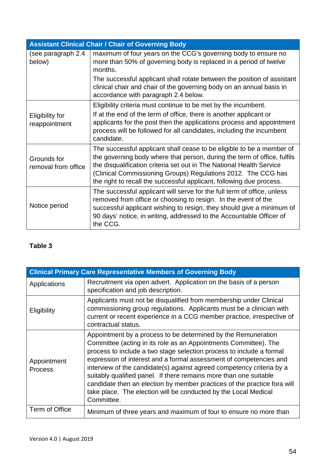| <b>Assistant Clinical Chair / Chair of Governing Body</b> |                                                                                                                                                                                                                                                                                                                                                                    |
|-----------------------------------------------------------|--------------------------------------------------------------------------------------------------------------------------------------------------------------------------------------------------------------------------------------------------------------------------------------------------------------------------------------------------------------------|
| (see paragraph 2.4<br>below)                              | maximum of four years on the CCG's governing body to ensure no<br>more than 50% of governing body is replaced in a period of twelve<br>months.                                                                                                                                                                                                                     |
|                                                           | The successful applicant shall rotate between the position of assistant<br>clinical chair and chair of the governing body on an annual basis in<br>accordance with paragraph 2.4 below.                                                                                                                                                                            |
|                                                           | Eligibility criteria must continue to be met by the incumbent.                                                                                                                                                                                                                                                                                                     |
| <b>Eligibility for</b><br>reappointment                   | If at the end of the term of office, there is another applicant or<br>applicants for the post then the applications process and appointment<br>process will be followed for all candidates, including the incumbent<br>candidate.                                                                                                                                  |
| Grounds for<br>removal from office                        | The successful applicant shall cease to be eligible to be a member of<br>the governing body where that person, during the term of office, fulfils<br>the disqualification criteria set out in The National Health Service<br>(Clinical Commissioning Groups) Regulations 2012. The CCG has<br>the right to recall the successful applicant, following due process. |
| Notice period                                             | The successful applicant will serve for the full term of office, unless<br>removed from office or choosing to resign. In the event of the<br>successful applicant wishing to resign, they should give a minimum of<br>90 days' notice, in writing, addressed to the Accountable Officer of<br>the CCG.                                                             |

| <b>Clinical Primary Care Representative Members of Governing Body</b> |                                                                                                                                                                                                                                                                                                                                                                                                                                                                                                                                                                                            |
|-----------------------------------------------------------------------|--------------------------------------------------------------------------------------------------------------------------------------------------------------------------------------------------------------------------------------------------------------------------------------------------------------------------------------------------------------------------------------------------------------------------------------------------------------------------------------------------------------------------------------------------------------------------------------------|
| Applications                                                          | Recruitment via open advert. Application on the basis of a person<br>specification and job description.                                                                                                                                                                                                                                                                                                                                                                                                                                                                                    |
| Eligibility                                                           | Applicants must not be disqualified from membership under Clinical<br>commissioning group regulations. Applicants must be a clinician with<br>current or recent experience in a CCG member practice, irrespective of<br>contractual status.                                                                                                                                                                                                                                                                                                                                                |
| Appointment<br><b>Process</b>                                         | Appointment by a process to be determined by the Remuneration<br>Committee (acting in its role as an Appointments Committee). The<br>process to include a two stage selection process to include a formal<br>expression of interest and a formal assessment of competencies and<br>interview of the candidate(s) against agreed competency criteria by a<br>suitably qualified panel. If there remains more than one suitable<br>candidate then an election by member practices of the practice fora will<br>take place. The election will be conducted by the Local Medical<br>Committee. |
| Term of Office                                                        | Minimum of three years and maximum of four to ensure no more than                                                                                                                                                                                                                                                                                                                                                                                                                                                                                                                          |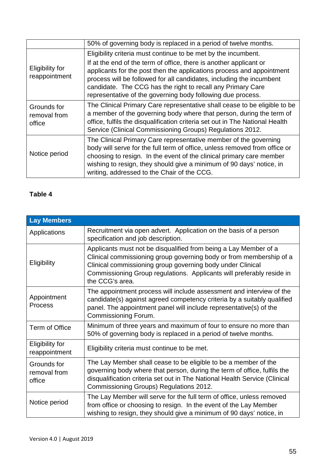|                                         | 50% of governing body is replaced in a period of twelve months.                                                                                                                                                                                                                                                                                                                                                     |
|-----------------------------------------|---------------------------------------------------------------------------------------------------------------------------------------------------------------------------------------------------------------------------------------------------------------------------------------------------------------------------------------------------------------------------------------------------------------------|
| <b>Eligibility for</b><br>reappointment | Eligibility criteria must continue to be met by the incumbent.<br>If at the end of the term of office, there is another applicant or<br>applicants for the post then the applications process and appointment<br>process will be followed for all candidates, including the incumbent<br>candidate. The CCG has the right to recall any Primary Care<br>representative of the governing body following due process. |
| Grounds for<br>removal from<br>office   | The Clinical Primary Care representative shall cease to be eligible to be<br>a member of the governing body where that person, during the term of<br>office, fulfils the disqualification criteria set out in The National Health<br>Service (Clinical Commissioning Groups) Regulations 2012.                                                                                                                      |
| Notice period                           | The Clinical Primary Care representative member of the governing<br>body will serve for the full term of office, unless removed from office or<br>choosing to resign. In the event of the clinical primary care member<br>wishing to resign, they should give a minimum of 90 days' notice, in<br>writing, addressed to the Chair of the CCG.                                                                       |

| <b>Lay Members</b>                      |                                                                                                                                                                                                                                                                                                   |
|-----------------------------------------|---------------------------------------------------------------------------------------------------------------------------------------------------------------------------------------------------------------------------------------------------------------------------------------------------|
| Applications                            | Recruitment via open advert. Application on the basis of a person<br>specification and job description.                                                                                                                                                                                           |
| Eligibility                             | Applicants must not be disqualified from being a Lay Member of a<br>Clinical commissioning group governing body or from membership of a<br>Clinical commissioning group governing body under Clinical<br>Commissioning Group regulations. Applicants will preferably reside in<br>the CCG's area. |
| Appointment<br><b>Process</b>           | The appointment process will include assessment and interview of the<br>candidate(s) against agreed competency criteria by a suitably qualified<br>panel. The appointment panel will include representative(s) of the<br>Commissioning Forum.                                                     |
| Term of Office                          | Minimum of three years and maximum of four to ensure no more than<br>50% of governing body is replaced in a period of twelve months.                                                                                                                                                              |
| <b>Eligibility for</b><br>reappointment | Eligibility criteria must continue to be met.                                                                                                                                                                                                                                                     |
| Grounds for<br>removal from<br>office   | The Lay Member shall cease to be eligible to be a member of the<br>governing body where that person, during the term of office, fulfils the<br>disqualification criteria set out in The National Health Service (Clinical<br>Commissioning Groups) Regulations 2012.                              |
| Notice period                           | The Lay Member will serve for the full term of office, unless removed<br>from office or choosing to resign. In the event of the Lay Member<br>wishing to resign, they should give a minimum of 90 days' notice, in                                                                                |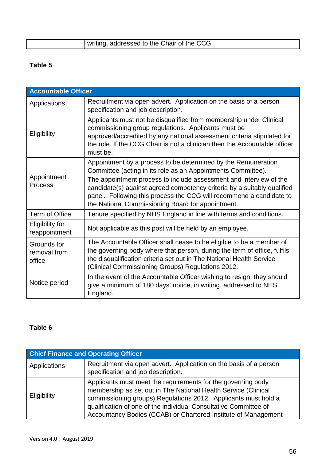| writing, addressed to the Chair of the CCG. |
|---------------------------------------------|

| <b>Accountable Officer</b>              |                                                                                                                                                                                                                                                                                                                                                                                                            |  |
|-----------------------------------------|------------------------------------------------------------------------------------------------------------------------------------------------------------------------------------------------------------------------------------------------------------------------------------------------------------------------------------------------------------------------------------------------------------|--|
| Applications                            | Recruitment via open advert. Application on the basis of a person<br>specification and job description.                                                                                                                                                                                                                                                                                                    |  |
| Eligibility                             | Applicants must not be disqualified from membership under Clinical<br>commissioning group regulations. Applicants must be<br>approved/accredited by any national assessment criteria stipulated for<br>the role. If the CCG Chair is not a clinician then the Accountable officer<br>must be.                                                                                                              |  |
| Appointment<br>Process                  | Appointment by a process to be determined by the Remuneration<br>Committee (acting in its role as an Appointments Committee).<br>The appointment process to include assessment and interview of the<br>candidate(s) against agreed competency criteria by a suitably qualified<br>panel. Following this process the CCG will recommend a candidate to<br>the National Commissioning Board for appointment. |  |
| <b>Term of Office</b>                   | Tenure specified by NHS England in line with terms and conditions.                                                                                                                                                                                                                                                                                                                                         |  |
| <b>Eligibility for</b><br>reappointment | Not applicable as this post will be held by an employee.                                                                                                                                                                                                                                                                                                                                                   |  |
| Grounds for<br>removal from<br>office   | The Accountable Officer shall cease to be eligible to be a member of<br>the governing body where that person, during the term of office, fulfils<br>the disqualification criteria set out in The National Health Service<br>(Clinical Commissioning Groups) Regulations 2012.                                                                                                                              |  |
| Notice period                           | In the event of the Accountable Officer wishing to resign, they should<br>give a minimum of 180 days' notice, in writing, addressed to NHS<br>England.                                                                                                                                                                                                                                                     |  |

| <b>Chief Finance and Operating Officer</b> |                                                                                                                                                                                                                                                                                                                                        |
|--------------------------------------------|----------------------------------------------------------------------------------------------------------------------------------------------------------------------------------------------------------------------------------------------------------------------------------------------------------------------------------------|
| Applications                               | Recruitment via open advert. Application on the basis of a person<br>specification and job description.                                                                                                                                                                                                                                |
| Eligibility                                | Applicants must meet the requirements for the governing body<br>membership as set out in The National Health Service (Clinical<br>commissioning groups) Regulations 2012. Applicants must hold a<br>qualification of one of the individual Consultative Committee of<br>Accountancy Bodies (CCAB) or Chartered Institute of Management |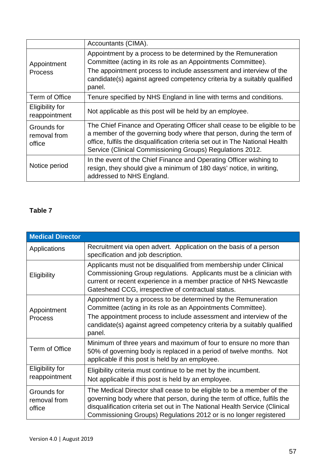|                                         | Accountants (CIMA).                                                                                                                                                                                                                                                                           |
|-----------------------------------------|-----------------------------------------------------------------------------------------------------------------------------------------------------------------------------------------------------------------------------------------------------------------------------------------------|
| Appointment<br><b>Process</b>           | Appointment by a process to be determined by the Remuneration<br>Committee (acting in its role as an Appointments Committee).<br>The appointment process to include assessment and interview of the<br>candidate(s) against agreed competency criteria by a suitably qualified<br>panel.      |
| Term of Office                          | Tenure specified by NHS England in line with terms and conditions.                                                                                                                                                                                                                            |
| <b>Eligibility for</b><br>reappointment | Not applicable as this post will be held by an employee.                                                                                                                                                                                                                                      |
| Grounds for<br>removal from<br>office   | The Chief Finance and Operating Officer shall cease to be eligible to be<br>a member of the governing body where that person, during the term of<br>office, fulfils the disqualification criteria set out in The National Health<br>Service (Clinical Commissioning Groups) Regulations 2012. |
| Notice period                           | In the event of the Chief Finance and Operating Officer wishing to<br>resign, they should give a minimum of 180 days' notice, in writing,<br>addressed to NHS England.                                                                                                                        |

| <b>Medical Director</b>               |                                                                                                                                                                                                                                                                                                      |
|---------------------------------------|------------------------------------------------------------------------------------------------------------------------------------------------------------------------------------------------------------------------------------------------------------------------------------------------------|
| Applications                          | Recruitment via open advert. Application on the basis of a person<br>specification and job description.                                                                                                                                                                                              |
| Eligibility                           | Applicants must not be disqualified from membership under Clinical<br>Commissioning Group regulations. Applicants must be a clinician with<br>current or recent experience in a member practice of NHS Newcastle<br>Gateshead CCG, irrespective of contractual status.                               |
| Appointment<br><b>Process</b>         | Appointment by a process to be determined by the Remuneration<br>Committee (acting in its role as an Appointments Committee).<br>The appointment process to include assessment and interview of the<br>candidate(s) against agreed competency criteria by a suitably qualified<br>panel.             |
| Term of Office                        | Minimum of three years and maximum of four to ensure no more than<br>50% of governing body is replaced in a period of twelve months. Not<br>applicable if this post is held by an employee.                                                                                                          |
| Eligibility for<br>reappointment      | Eligibility criteria must continue to be met by the incumbent.<br>Not applicable if this post is held by an employee.                                                                                                                                                                                |
| Grounds for<br>removal from<br>office | The Medical Director shall cease to be eligible to be a member of the<br>governing body where that person, during the term of office, fulfils the<br>disqualification criteria set out in The National Health Service (Clinical<br>Commissioning Groups) Regulations 2012 or is no longer registered |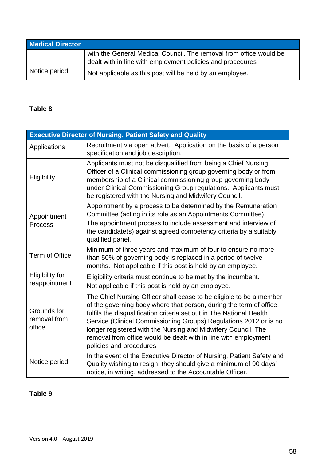| <b>Medical Director</b> |                                                                                                                                  |
|-------------------------|----------------------------------------------------------------------------------------------------------------------------------|
|                         | with the General Medical Council. The removal from office would be<br>dealt with in line with employment policies and procedures |
| Notice period           | Not applicable as this post will be held by an employee.                                                                         |

| <b>Executive Director of Nursing, Patient Safety and Quality</b> |                                                                                                                                                                                                                                                                                                                                                                                                                                                        |
|------------------------------------------------------------------|--------------------------------------------------------------------------------------------------------------------------------------------------------------------------------------------------------------------------------------------------------------------------------------------------------------------------------------------------------------------------------------------------------------------------------------------------------|
| Applications                                                     | Recruitment via open advert. Application on the basis of a person<br>specification and job description.                                                                                                                                                                                                                                                                                                                                                |
| Eligibility                                                      | Applicants must not be disqualified from being a Chief Nursing<br>Officer of a Clinical commissioning group governing body or from<br>membership of a Clinical commissioning group governing body<br>under Clinical Commissioning Group regulations. Applicants must<br>be registered with the Nursing and Midwifery Council.                                                                                                                          |
| Appointment<br>Process                                           | Appointment by a process to be determined by the Remuneration<br>Committee (acting in its role as an Appointments Committee).<br>The appointment process to include assessment and interview of<br>the candidate(s) against agreed competency criteria by a suitably<br>qualified panel.                                                                                                                                                               |
| Term of Office                                                   | Minimum of three years and maximum of four to ensure no more<br>than 50% of governing body is replaced in a period of twelve<br>months. Not applicable if this post is held by an employee.                                                                                                                                                                                                                                                            |
| <b>Eligibility for</b><br>reappointment                          | Eligibility criteria must continue to be met by the incumbent.<br>Not applicable if this post is held by an employee.                                                                                                                                                                                                                                                                                                                                  |
| Grounds for<br>removal from<br>office                            | The Chief Nursing Officer shall cease to be eligible to be a member<br>of the governing body where that person, during the term of office,<br>fulfils the disqualification criteria set out in The National Health<br>Service (Clinical Commissioning Groups) Regulations 2012 or is no<br>longer registered with the Nursing and Midwifery Council. The<br>removal from office would be dealt with in line with employment<br>policies and procedures |
| Notice period                                                    | In the event of the Executive Director of Nursing, Patient Safety and<br>Quality wishing to resign, they should give a minimum of 90 days'<br>notice, in writing, addressed to the Accountable Officer.                                                                                                                                                                                                                                                |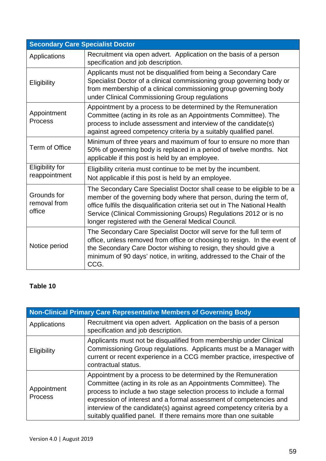| <b>Secondary Care Specialist Doctor</b> |                                                                                                                                                                                                                                                                                                                                                           |
|-----------------------------------------|-----------------------------------------------------------------------------------------------------------------------------------------------------------------------------------------------------------------------------------------------------------------------------------------------------------------------------------------------------------|
| Applications                            | Recruitment via open advert. Application on the basis of a person<br>specification and job description.                                                                                                                                                                                                                                                   |
| Eligibility                             | Applicants must not be disqualified from being a Secondary Care<br>Specialist Doctor of a clinical commissioning group governing body or<br>from membership of a clinical commissioning group governing body<br>under Clinical Commissioning Group regulations                                                                                            |
| Appointment<br><b>Process</b>           | Appointment by a process to be determined by the Remuneration<br>Committee (acting in its role as an Appointments Committee). The<br>process to include assessment and interview of the candidate(s)<br>against agreed competency criteria by a suitably qualified panel.                                                                                 |
| Term of Office                          | Minimum of three years and maximum of four to ensure no more than<br>50% of governing body is replaced in a period of twelve months. Not<br>applicable if this post is held by an employee.                                                                                                                                                               |
| Eligibility for<br>reappointment        | Eligibility criteria must continue to be met by the incumbent.<br>Not applicable if this post is held by an employee.                                                                                                                                                                                                                                     |
| Grounds for<br>removal from<br>office   | The Secondary Care Specialist Doctor shall cease to be eligible to be a<br>member of the governing body where that person, during the term of,<br>office fulfils the disqualification criteria set out in The National Health<br>Service (Clinical Commissioning Groups) Regulations 2012 or is no<br>longer registered with the General Medical Council. |
| Notice period                           | The Secondary Care Specialist Doctor will serve for the full term of<br>office, unless removed from office or choosing to resign. In the event of<br>the Secondary Care Doctor wishing to resign, they should give a<br>minimum of 90 days' notice, in writing, addressed to the Chair of the<br>CCG.                                                     |

| <b>Non-Clinical Primary Care Representative Members of Governing Body</b> |                                                                                                                                                                                                                                                                                                                                                                                                                               |
|---------------------------------------------------------------------------|-------------------------------------------------------------------------------------------------------------------------------------------------------------------------------------------------------------------------------------------------------------------------------------------------------------------------------------------------------------------------------------------------------------------------------|
| Applications                                                              | Recruitment via open advert. Application on the basis of a person<br>specification and job description.                                                                                                                                                                                                                                                                                                                       |
| Eligibility                                                               | Applicants must not be disqualified from membership under Clinical<br>Commissioning Group regulations. Applicants must be a Manager with<br>current or recent experience in a CCG member practice, irrespective of<br>contractual status.                                                                                                                                                                                     |
| Appointment<br><b>Process</b>                                             | Appointment by a process to be determined by the Remuneration<br>Committee (acting in its role as an Appointments Committee). The<br>process to include a two stage selection process to include a formal<br>expression of interest and a formal assessment of competencies and<br>interview of the candidate(s) against agreed competency criteria by a<br>suitably qualified panel. If there remains more than one suitable |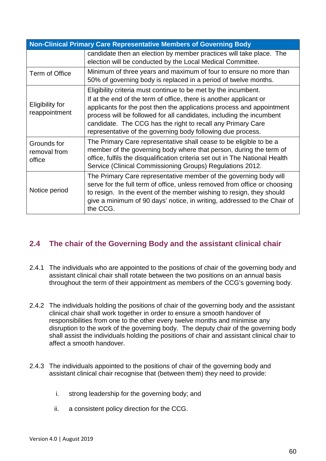| Non-Clinical Primary Care Representative Members of Governing Body |                                                                                                                                                                                                                                                                                                                                                                                                                     |
|--------------------------------------------------------------------|---------------------------------------------------------------------------------------------------------------------------------------------------------------------------------------------------------------------------------------------------------------------------------------------------------------------------------------------------------------------------------------------------------------------|
|                                                                    | candidate then an election by member practices will take place. The<br>election will be conducted by the Local Medical Committee.                                                                                                                                                                                                                                                                                   |
| Term of Office                                                     | Minimum of three years and maximum of four to ensure no more than<br>50% of governing body is replaced in a period of twelve months.                                                                                                                                                                                                                                                                                |
| <b>Eligibility for</b><br>reappointment                            | Eligibility criteria must continue to be met by the incumbent.<br>If at the end of the term of office, there is another applicant or<br>applicants for the post then the applications process and appointment<br>process will be followed for all candidates, including the incumbent<br>candidate. The CCG has the right to recall any Primary Care<br>representative of the governing body following due process. |
| Grounds for<br>removal from<br>office                              | The Primary Care representative shall cease to be eligible to be a<br>member of the governing body where that person, during the term of<br>office, fulfils the disqualification criteria set out in The National Health<br>Service (Clinical Commissioning Groups) Regulations 2012.                                                                                                                               |
| Notice period                                                      | The Primary Care representative member of the governing body will<br>serve for the full term of office, unless removed from office or choosing<br>to resign. In the event of the member wishing to resign, they should<br>give a minimum of 90 days' notice, in writing, addressed to the Chair of<br>the CCG.                                                                                                      |

## **2.4 The chair of the Governing Body and the assistant clinical chair**

- 2.4.1 The individuals who are appointed to the positions of chair of the governing body and assistant clinical chair shall rotate between the two positions on an annual basis throughout the term of their appointment as members of the CCG's governing body.
- 2.4.2 The individuals holding the positions of chair of the governing body and the assistant clinical chair shall work together in order to ensure a smooth handover of responsibilities from one to the other every twelve months and minimise any disruption to the work of the governing body. The deputy chair of the governing body shall assist the individuals holding the positions of chair and assistant clinical chair to affect a smooth handover.
- 2.4.3 The individuals appointed to the positions of chair of the governing body and assistant clinical chair recognise that (between them) they need to provide:
	- i. strong leadership for the governing body; and
	- ii. a consistent policy direction for the CCG.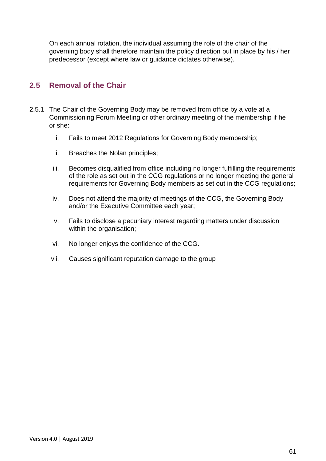On each annual rotation, the individual assuming the role of the chair of the governing body shall therefore maintain the policy direction put in place by his / her predecessor (except where law or guidance dictates otherwise).

#### **2.5 Removal of the Chair**

- 2.5.1 The Chair of the Governing Body may be removed from office by a vote at a Commissioning Forum Meeting or other ordinary meeting of the membership if he or she:
	- i. Fails to meet 2012 Regulations for Governing Body membership;
	- ii. Breaches the Nolan principles;
	- iii. Becomes disqualified from office including no longer fulfilling the requirements of the role as set out in the CCG regulations or no longer meeting the general requirements for Governing Body members as set out in the CCG regulations;
	- iv. Does not attend the majority of meetings of the CCG, the Governing Body and/or the Executive Committee each year;
	- v. Fails to disclose a pecuniary interest regarding matters under discussion within the organisation;
	- vi. No longer enjoys the confidence of the CCG.
	- vii. Causes significant reputation damage to the group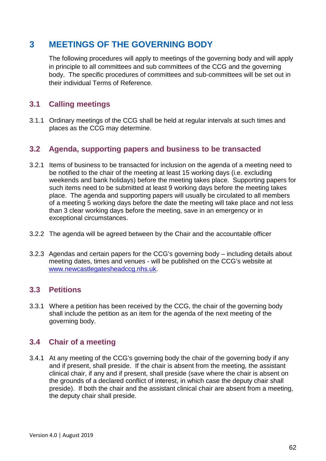# **3 MEETINGS OF THE GOVERNING BODY**

The following procedures will apply to meetings of the governing body and will apply in principle to all committees and sub committees of the CCG and the governing body. The specific procedures of committees and sub-committees will be set out in their individual Terms of Reference.

#### **3.1 Calling meetings**

3.1.1 Ordinary meetings of the CCG shall be held at regular intervals at such times and places as the CCG may determine.

#### **3.2 Agenda, supporting papers and business to be transacted**

- 3.2.1 Items of business to be transacted for inclusion on the agenda of a meeting need to be notified to the chair of the meeting at least 15 working days (i.e. excluding weekends and bank holidays) before the meeting takes place. Supporting papers for such items need to be submitted at least 9 working days before the meeting takes place. The agenda and supporting papers will usually be circulated to all members of a meeting 5 working days before the date the meeting will take place and not less than 3 clear working days before the meeting, save in an emergency or in exceptional circumstances.
- 3.2.2 The agenda will be agreed between by the Chair and the accountable officer
- 3.2.3 Agendas and certain papers for the CCG's governing body including details about meeting dates, times and venues - will be published on the CCG's website at [www.newcastlegatesheadccg.nhs.uk.](file://ntpcts60/Shared_Info/CCGs/Alliance/Merger%20Documents/Pre%20submission/Constitution/www.newcastlegatesheadccg.nhs.uk)

#### **3.3 Petitions**

3.3.1 Where a petition has been received by the CCG, the chair of the governing body shall include the petition as an item for the agenda of the next meeting of the governing body.

## **3.4 Chair of a meeting**

3.4.1 At any meeting of the CCG's governing body the chair of the governing body if any and if present, shall preside. If the chair is absent from the meeting, the assistant clinical chair, if any and if present, shall preside (save where the chair is absent on the grounds of a declared conflict of interest, in which case the deputy chair shall preside). If both the chair and the assistant clinical chair are absent from a meeting, the deputy chair shall preside.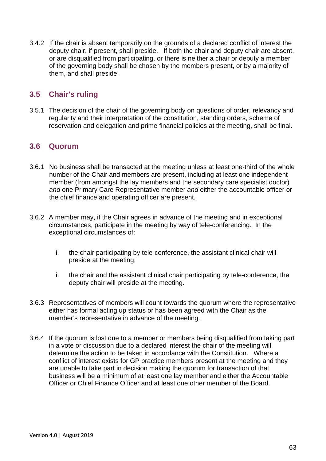3.4.2 If the chair is absent temporarily on the grounds of a declared conflict of interest the deputy chair, if present, shall preside. If both the chair and deputy chair are absent, or are disqualified from participating, or there is neither a chair or deputy a member of the governing body shall be chosen by the members present, or by a majority of them, and shall preside.

#### **3.5 Chair's ruling**

3.5.1 The decision of the chair of the governing body on questions of order, relevancy and regularity and their interpretation of the constitution, standing orders, scheme of reservation and delegation and prime financial policies at the meeting, shall be final.

#### **3.6 Quorum**

- 3.6.1 No business shall be transacted at the meeting unless at least one-third of the whole number of the Chair and members are present, including at least one independent member (from amongst the lay members and the secondary care specialist doctor) *and* one Primary Care Representative member *and* either the accountable officer or the chief finance and operating officer are present.
- 3.6.2 A member may, if the Chair agrees in advance of the meeting and in exceptional circumstances, participate in the meeting by way of tele-conferencing. In the exceptional circumstances of:
	- i. the chair participating by tele-conference, the assistant clinical chair will preside at the meeting;
	- ii. the chair and the assistant clinical chair participating by tele-conference, the deputy chair will preside at the meeting.
- 3.6.3 Representatives of members will count towards the quorum where the representative either has formal acting up status or has been agreed with the Chair as the member's representative in advance of the meeting.
- 3.6.4 If the quorum is lost due to a member or members being disqualified from taking part in a vote or discussion due to a declared interest the chair of the meeting will determine the action to be taken in accordance with the Constitution. Where a conflict of interest exists for GP practice members present at the meeting and they are unable to take part in decision making the quorum for transaction of that business will be a minimum of at least one lay member and either the Accountable Officer or Chief Finance Officer and at least one other member of the Board.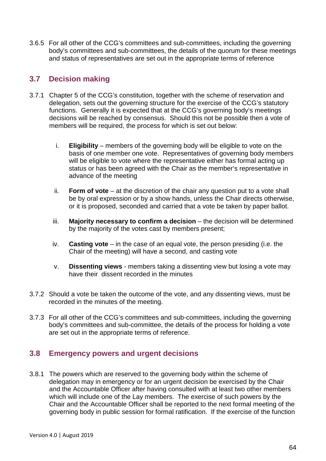3.6.5 For all other of the CCG's committees and sub-committees, including the governing body's committees and sub-committees, the details of the quorum for these meetings and status of representatives are set out in the appropriate terms of reference

#### **3.7 Decision making**

- 3.7.1 Chapter 5 of the CCG's constitution, together with the scheme of reservation and delegation, sets out the governing structure for the exercise of the CCG's statutory functions. Generally it is expected that at the CCG's governing body's meetings decisions will be reached by consensus. Should this not be possible then a vote of members will be required, the process for which is set out below:
	- i. **Eligibility** members of the governing body will be eligible to vote on the basis of one member one vote. Representatives of governing body members will be eligible to vote where the representative either has formal acting up status or has been agreed with the Chair as the member's representative in advance of the meeting
	- ii. **Form of vote** at the discretion of the chair any question put to a vote shall be by oral expression or by a show hands, unless the Chair directs otherwise, or it is proposed, seconded and carried that a vote be taken by paper ballot.
	- iii. **Majority necessary to confirm a decision** the decision will be determined by the majority of the votes cast by members present;
	- iv. **Casting vote** in the case of an equal vote, the person presiding (i.e. the Chair of the meeting) will have a second, and casting vote
	- v. **Dissenting views** members taking a dissenting view but losing a vote may have their dissent recorded in the minutes
- 3.7.2 Should a vote be taken the outcome of the vote, and any dissenting views, must be recorded in the minutes of the meeting.
- 3.7.3 For all other of the CCG's committees and sub-committees, including the governing body's committees and sub-committee, the details of the process for holding a vote are set out in the appropriate terms of reference.

## **3.8 Emergency powers and urgent decisions**

3.8.1 The powers which are reserved to the governing body within the scheme of delegation may in emergency or for an urgent decision be exercised by the Chair and the Accountable Officer after having consulted with at least two other members which will include one of the Lay members. The exercise of such powers by the Chair and the Accountable Officer shall be reported to the next formal meeting of the governing body in public session for formal ratification. If the exercise of the function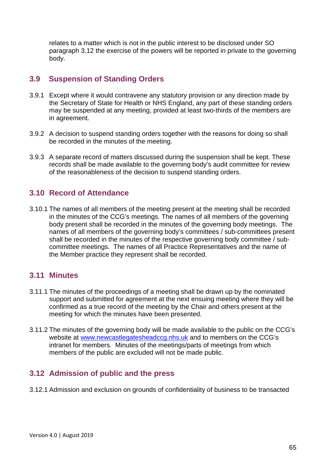relates to a matter which is not in the public interest to be disclosed under SO paragraph 3.12 the exercise of the powers will be reported in private to the governing body.

#### **3.9 Suspension of Standing Orders**

- 3.9.1 Except where it would contravene any statutory provision or any direction made by the Secretary of State for Health or NHS England, any part of these standing orders may be suspended at any meeting, provided at least two-thirds of the members are in agreement.
- 3.9.2 A decision to suspend standing orders together with the reasons for doing so shall be recorded in the minutes of the meeting.
- 3.9.3 A separate record of matters discussed during the suspension shall be kept. These records shall be made available to the governing body's audit committee for review of the reasonableness of the decision to suspend standing orders.

#### **3.10 Record of Attendance**

3.10.1 The names of all members of the meeting present at the meeting shall be recorded in the minutes of the CCG's meetings. The names of all members of the governing body present shall be recorded in the minutes of the governing body meetings. The names of all members of the governing body's committees / sub-committees present shall be recorded in the minutes of the respective governing body committee / subcommittee meetings. The names of all Practice Representatives and the name of the Member practice they represent shall be recorded.

#### **3.11 Minutes**

- 3.11.1 The minutes of the proceedings of a meeting shall be drawn up by the nominated support and submitted for agreement at the next ensuing meeting where they will be confirmed as a true record of the meeting by the Chair and others present at the meeting for which the minutes have been presented.
- 3.11.2 The minutes of the governing body will be made available to the public on the CCG's website at [www.newcastlegatesheadccg.nhs.uk](file://ntpcts60/Shared_Info/CCGs/Alliance/Merger%20Documents/Pre%20submission/Constitution/www.newcastlegatesheadccg.nhs.uk) and to members on the CCG's intranet for members. Minutes of the meetings/parts of meetings from which members of the public are excluded will not be made public.

#### **3.12 Admission of public and the press**

3.12.1 Admission and exclusion on grounds of confidentiality of business to be transacted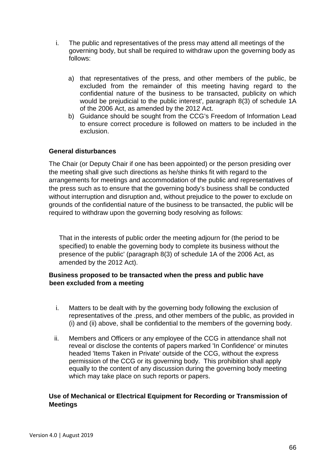- i. The public and representatives of the press may attend all meetings of the governing body, but shall be required to withdraw upon the governing body as follows:
	- a) that representatives of the press, and other members of the public, be excluded from the remainder of this meeting having regard to the confidential nature of the business to be transacted, publicity on which would be prejudicial to the public interest', paragraph 8(3) of schedule 1A of the 2006 Act, as amended by the 2012 Act.
	- b) Guidance should be sought from the CCG's Freedom of Information Lead to ensure correct procedure is followed on matters to be included in the exclusion.

#### **General disturbances**

The Chair (or Deputy Chair if one has been appointed) or the person presiding over the meeting shall give such directions as he/she thinks fit with regard to the arrangements for meetings and accommodation of the public and representatives of the press such as to ensure that the governing body's business shall be conducted without interruption and disruption and, without prejudice to the power to exclude on grounds of the confidential nature of the business to be transacted, the public will be required to withdraw upon the governing body resolving as follows:

That in the interests of public order the meeting adjourn for (the period to be specified) to enable the governing body to complete its business without the presence of the public' (paragraph 8(3) of schedule 1A of the 2006 Act, as amended by the 2012 Act).

#### **Business proposed to be transacted when the press and public have been excluded from a meeting**

- i. Matters to be dealt with by the governing body following the exclusion of representatives of the .press, and other members of the public, as provided in (i) and (ii) above, shall be confidential to the members of the governing body.
- ii. Members and Officers or any employee of the CCG in attendance shall not reveal or disclose the contents of papers marked 'In Confidence' or minutes headed 'Items Taken in Private' outside of the CCG, without the express permission of the CCG or its governing body. This prohibition shall apply equally to the content of any discussion during the governing body meeting which may take place on such reports or papers.

#### **Use of Mechanical or Electrical Equipment for Recording or Transmission of Meetings**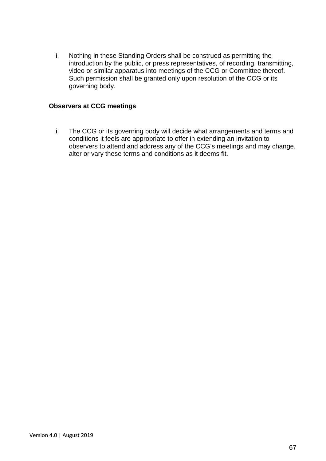i. Nothing in these Standing Orders shall be construed as permitting the introduction by the public, or press representatives, of recording, transmitting, video or similar apparatus into meetings of the CCG or Committee thereof. Such permission shall be granted only upon resolution of the CCG or its governing body.

#### **Observers at CCG meetings**

i. The CCG or its governing body will decide what arrangements and terms and conditions it feels are appropriate to offer in extending an invitation to observers to attend and address any of the CCG's meetings and may change, alter or vary these terms and conditions as it deems fit.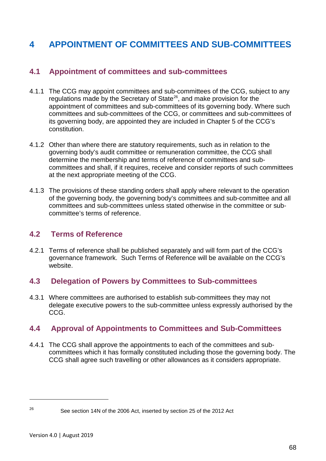# **4 APPOINTMENT OF COMMITTEES AND SUB-COMMITTEES**

## **4.1 Appointment of committees and sub-committees**

- 4.1.1 The CCG may appoint committees and sub-committees of the CCG, subject to any regulations made by the Secretary of State<sup>26</sup>, and make provision for the appointment of committees and sub-committees of its governing body. Where such committees and sub-committees of the CCG, or committees and sub-committees of its governing body, are appointed they are included in Chapter 5 of the CCG's constitution.
- 4.1.2 Other than where there are statutory requirements, such as in relation to the governing body's audit committee or remuneration committee, the CCG shall determine the membership and terms of reference of committees and subcommittees and shall, if it requires, receive and consider reports of such committees at the next appropriate meeting of the CCG.
- 4.1.3 The provisions of these standing orders shall apply where relevant to the operation of the governing body, the governing body's committees and sub-committee and all committees and sub-committees unless stated otherwise in the committee or subcommittee's terms of reference.

#### **4.2 Terms of Reference**

4.2.1 Terms of reference shall be published separately and will form part of the CCG's governance framework. Such Terms of Reference will be available on the CCG's website.

## **4.3 Delegation of Powers by Committees to Sub-committees**

4.3.1 Where committees are authorised to establish sub-committees they may not delegate executive powers to the sub-committee unless expressly authorised by the CCG.

## **4.4 Approval of Appointments to Committees and Sub-Committees**

4.4.1 The CCG shall approve the appointments to each of the committees and subcommittees which it has formally constituted including those the governing body. The CCG shall agree such travelling or other allowances as it considers appropriate.

 $\overline{a}$ 

<span id="page-67-0"></span><sup>&</sup>lt;sup>26</sup> See section 14N of the 2006 Act, inserted by section 25 of the 2012 Act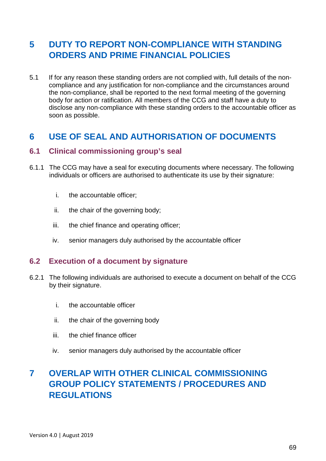# **5 DUTY TO REPORT NON-COMPLIANCE WITH STANDING ORDERS AND PRIME FINANCIAL POLICIES**

5.1 If for any reason these standing orders are not complied with, full details of the noncompliance and any justification for non-compliance and the circumstances around the non-compliance, shall be reported to the next formal meeting of the governing body for action or ratification. All members of the CCG and staff have a duty to disclose any non-compliance with these standing orders to the accountable officer as soon as possible.

## **6 USE OF SEAL AND AUTHORISATION OF DOCUMENTS**

#### **6.1 Clinical commissioning group's seal**

- 6.1.1 The CCG may have a seal for executing documents where necessary. The following individuals or officers are authorised to authenticate its use by their signature:
	- i. the accountable officer;
	- ii. the chair of the governing body;
	- iii. the chief finance and operating officer;
	- iv. senior managers duly authorised by the accountable officer

#### **6.2 Execution of a document by signature**

- 6.2.1 The following individuals are authorised to execute a document on behalf of the CCG by their signature.
	- i. the accountable officer
	- ii. the chair of the governing body
	- iii. the chief finance officer
	- iv. senior managers duly authorised by the accountable officer

# **7 OVERLAP WITH OTHER CLINICAL COMMISSIONING GROUP POLICY STATEMENTS / PROCEDURES AND REGULATIONS**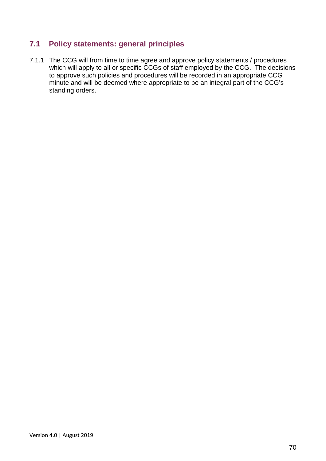## **7.1 Policy statements: general principles**

7.1.1 The CCG will from time to time agree and approve policy statements / procedures which will apply to all or specific CCGs of staff employed by the CCG. The decisions to approve such policies and procedures will be recorded in an appropriate CCG minute and will be deemed where appropriate to be an integral part of the CCG's standing orders.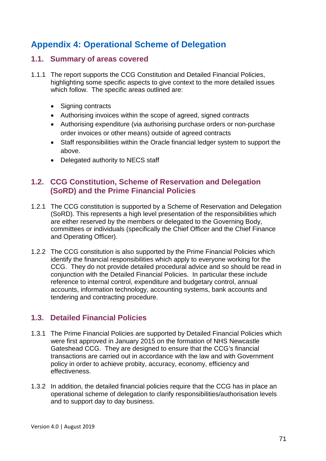# **Appendix 4: Operational Scheme of Delegation**

#### **1.1. Summary of areas covered**

- 1.1.1 The report supports the CCG Constitution and Detailed Financial Policies, highlighting some specific aspects to give context to the more detailed issues which follow. The specific areas outlined are:
	- Signing contracts
	- Authorising invoices within the scope of agreed, signed contracts
	- Authorising expenditure (via authorising purchase orders or non-purchase order invoices or other means) outside of agreed contracts
	- Staff responsibilities within the Oracle financial ledger system to support the above.
	- Delegated authority to NECS staff

#### **1.2. CCG Constitution, Scheme of Reservation and Delegation (SoRD) and the Prime Financial Policies**

- 1.2.1 The CCG constitution is supported by a Scheme of Reservation and Delegation (SoRD). This represents a high level presentation of the responsibilities which are either reserved by the members or delegated to the Governing Body, committees or individuals (specifically the Chief Officer and the Chief Finance and Operating Officer).
- 1.2.2 The CCG constitution is also supported by the Prime Financial Policies which identify the financial responsibilities which apply to everyone working for the CCG. They do not provide detailed procedural advice and so should be read in conjunction with the Detailed Financial Policies. In particular these include reference to internal control, expenditure and budgetary control, annual accounts, information technology, accounting systems, bank accounts and tendering and contracting procedure.

#### **1.3. Detailed Financial Policies**

- 1.3.1 The Prime Financial Policies are supported by Detailed Financial Policies which were first approved in January 2015 on the formation of NHS Newcastle Gateshead CCG. They are designed to ensure that the CCG's financial transactions are carried out in accordance with the law and with Government policy in order to achieve probity, accuracy, economy, efficiency and effectiveness.
- 1.3.2 In addition, the detailed financial policies require that the CCG has in place an operational scheme of delegation to clarify responsibilities/authorisation levels and to support day to day business.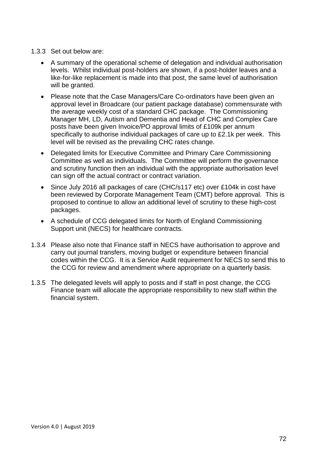#### 1.3.3 Set out below are:

- A summary of the operational scheme of delegation and individual authorisation levels. Whilst individual post-holders are shown, if a post-holder leaves and a like-for-like replacement is made into that post, the same level of authorisation will be granted.
- Please note that the Case Managers/Care Co-ordinators have been given an approval level in Broadcare (our patient package database) commensurate with the average weekly cost of a standard CHC package. The Commissioning Manager MH, LD, Autism and Dementia and Head of CHC and Complex Care posts have been given Invoice/PO approval limits of £109k per annum specifically to authorise individual packages of care up to £2.1k per week. This level will be revised as the prevailing CHC rates change.
- Delegated limits for Executive Committee and Primary Care Commissioning Committee as well as individuals. The Committee will perform the governance and scrutiny function then an individual with the appropriate authorisation level can sign off the actual contract or contract variation.
- Since July 2016 all packages of care (CHC/s117 etc) over £104k in cost have been reviewed by Corporate Management Team (CMT) before approval. This is proposed to continue to allow an additional level of scrutiny to these high-cost packages.
- A schedule of CCG delegated limits for North of England Commissioning Support unit (NECS) for healthcare contracts.
- 1.3.4 Please also note that Finance staff in NECS have authorisation to approve and carry out journal transfers, moving budget or expenditure between financial codes within the CCG. It is a Service Audit requirement for NECS to send this to the CCG for review and amendment where appropriate on a quarterly basis.
- 1.3.5 The delegated levels will apply to posts and if staff in post change, the CCG Finance team will allocate the appropriate responsibility to new staff within the financial system.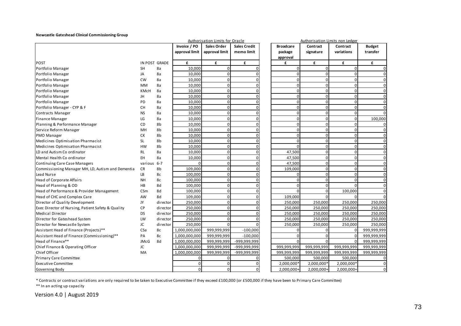## **Newcastle Gateshead Clinical Commissioning Group**

|                                                    | Authorisation Limits for Oracle |          |                |                |                     | Authorisation Limits non Ledger |             |             |                |
|----------------------------------------------------|---------------------------------|----------|----------------|----------------|---------------------|---------------------------------|-------------|-------------|----------------|
|                                                    |                                 |          | Invoice / PO   | Sales Order    | <b>Sales Credit</b> | <b>Broadcare</b>                | Contract    | Contract    | <b>Budget</b>  |
|                                                    |                                 |          | approval limit | approval limit | memo limit          | package                         | signature   | variations  | transfer       |
|                                                    |                                 |          |                |                |                     | approval                        |             |             |                |
| <b>POST</b>                                        | IN POST GRADE                   |          | £              | £              | £                   | £                               | £           | £           | £              |
| Portfolio Manager                                  | <b>SH</b>                       | 8a       | 10,000         | $\mathbf 0$    |                     | 0                               | 0           | $\mathsf 0$ | $\mathbf{0}$   |
| Portfolio Manager                                  | JA                              | 8a       | 10,000         | $\overline{0}$ |                     | $\Omega$                        | 0           | $\mathbf 0$ | $\overline{0}$ |
| Portfolio Manager                                  | <b>CW</b>                       | 8a       | 10,000         | $\Omega$       |                     | U                               | $\Omega$    | $\mathbf 0$ | $\overline{0}$ |
| Portfolio Manager                                  | <b>MM</b>                       | 8a       | 10,000         | $\Omega$       |                     | $\Omega$                        | 0           | $\mathbf 0$ | $\overline{0}$ |
| Portfolio Manager                                  | <b>KMcH</b>                     | 8a       | 10,000         | $\overline{0}$ |                     | $\Omega$                        | 0           | $\mathbf 0$ | $\overline{0}$ |
| Portfolio Manager                                  | JH                              | 8a       | 10,000         | $\overline{0}$ |                     | $\Omega$                        | 0           | $\mathbf 0$ | $\overline{0}$ |
| Portfolio Manager                                  | PD                              | 8a       | 10,000         | $\overline{0}$ |                     | $\Omega$                        | 0           | $\mathbf 0$ | $\overline{0}$ |
| Portfolio Manager - CYP & F                        | <b>CH</b>                       | 8a       | 10,000         | $\mathbf 0$    |                     | $\overline{0}$                  | $\mathbf 0$ | $\mathbf 0$ | $\overline{0}$ |
| Contracts Manager                                  | <b>NS</b>                       | 8a       | 10,000         | $\overline{0}$ |                     | $\Omega$                        | $\Omega$    | $\mathbf 0$ | $\overline{0}$ |
| <b>Finance Manager</b>                             | LG                              | 8a       | 10,000         | $\mathbf 0$    |                     | $\Omega$                        | $\Omega$    | $\mathbf 0$ | 100,000        |
| Planning & Performance Manager                     | <b>CD</b>                       | 8b       | 10,000         | $\overline{0}$ |                     | $\overline{0}$                  | 0           | $\mathbf 0$ | $\overline{0}$ |
| Service Reform Manager                             | MH                              | 8b       | 10,000         | $\overline{0}$ |                     | $\Omega$                        | 0           | $\mathbf 0$ | $\overline{0}$ |
| PMO Manager                                        | СK                              | 8b       | 10,000         | $\Omega$       |                     | $\Omega$                        | 0           | $\mathbf 0$ | $\overline{0}$ |
| Medicines Optimisation Pharmacist                  | SL                              | 8b       | 10,000         | $\overline{0}$ |                     | $\Omega$                        | $\Omega$    | $\mathbf 0$ | $\overline{0}$ |
| Medicines Optimisation Pharmacist                  | <b>HW</b>                       | 8b       | 10,000         | $\mathbf 0$    |                     | $\Omega$                        | $\mathbf 0$ | $\mathbf 0$ | $\mathbf{0}$   |
| LD and Autism Co ordinator                         | RL                              | 8a       | 10,000         | $\overline{0}$ |                     | 47,500                          | 0           | $\mathbf 0$ | $\overline{0}$ |
| Mental Health Co ordinator                         | <b>EH</b>                       | 8a       | 10,000         | $\mathbf 0$    |                     | 47,500                          | 0           | $\mathbf 0$ | $\overline{0}$ |
| Continuing Care Case Managers                      | various 6-7                     |          | $\Omega$       | $\mathbf 0$    |                     | 47,500                          | 0           | $\mathbf 0$ | $\overline{0}$ |
| Commissioning Manager MH, LD, Autism and Dementia  | CR                              | 8b       | 109,000        | $\overline{0}$ |                     | 109,000                         | 0           | $\mathbf 0$ | $\overline{0}$ |
| Lead Nurse                                         | LB.                             | 8c       | 100,000        | $\overline{0}$ |                     | 0                               | $\mathbf 0$ | $\mathbf 0$ | $\overline{0}$ |
| Head of Corporate Affairs                          | <b>NH</b>                       | 8c       | 100,000        | $\overline{0}$ |                     | $\Omega$                        | 0           | $\mathbf 0$ | $\overline{0}$ |
| Head of Planning & OD                              | HB                              | 8d       | 100,000        | $\mathbf 0$    |                     |                                 | $\Omega$    | $\Omega$    | $\overline{0}$ |
| Head of Performance & Provider Management          | CSm                             | 8d       | 100,000        | $\mathbf 0$    |                     | $\Omega$                        | 0           | 100,000     | $\overline{0}$ |
| Head of CHC and Complex Care                       | AW                              | 8d       | 109,000        | $\mathbf 0$    |                     | 109,000                         | $\Omega$    | $\Omega$    | $\Omega$       |
| Director of Quality Development                    | JY                              | director | 250,000        | $\overline{0}$ |                     | 250,000                         | 250,000     | 250,000     | 250,000        |
| Exec Director of Nursing, Patient Safety & Quality | СP                              | director | 250,000        | $\overline{0}$ |                     | 250,000                         | 250,000     | 250,000     | 250,000        |
| Medical Director                                   | <b>DS</b>                       | director | 250,000        | $\Omega$       |                     | 250,000                         | 250,000     | 250,000     | 250,000        |
| Director for Gateshead System                      | LW                              | director | 250,000        | $\Omega$       |                     | 250,000                         | 250,000     | 250,000     | 250,000        |
| Director for Newcastle System                      | JC                              | director | 250,000        | $\Omega$       |                     | 250,000                         | 250,000     | 250,000     | 250,000        |
| Assistant Head of Finance (Projects)**             | CSa                             | 8c       | 1,000,000,000  | 999,999,999    | $-100,000$          | U                               | O           | 0           | 999,999,999    |
| Assistant Head of Finance (Commissioning)**        | PA                              | 8c       | 1,000,000,000  | 999,999,999    | $-100,000$          | $\Omega$                        | $\Omega$    | $\mathbf 0$ | 999,999,999    |
| Head of Finance**                                  | <b>JMcG</b>                     | 8d       | 1,000,000,000  | 999,999,999    | -999,999,999        | $\Omega$                        | $\Omega$    | $\Omega$    | 999,999,999    |
| Chief Finance & Operating Officer                  | JC                              |          | 1,000,000,000  | 999,999,999    | -999,999,999        | 999,999,999                     | 999,999,999 | 999,999,999 | 999,999,999    |
| Chief Officer                                      | MA                              |          | 1,000,000,000  | 999,999,999    | -999,999,999        | 999,999,999                     | 999,999,999 | 999,999,999 | 999,999,999    |
| Primary Care Committee                             |                                 |          | $\Omega$       | $\Omega$       |                     | 500,000                         | 500,000     | 500,000     | $\overline{0}$ |
| <b>Executive Committee</b>                         |                                 |          | $\mathbf 0$    | $\mathbf 0$    |                     | 2,000,000                       | 2,000,000*  | 2,000,000*  | $\overline{0}$ |
| Governing Body                                     |                                 |          | $\mathbf{0}$   | $\mathbf 0$    |                     | 2,000,000+                      | 2,000,000+  | 2,000,000+  | $\overline{0}$ |

\* Contracts or contract variations are only required to be taken to Executive Committee if they exceed £100,000 (or £500,000 if they have been to Primary Care Committee)

\*\* In an acting up capacity

Version 4.0 | August 2019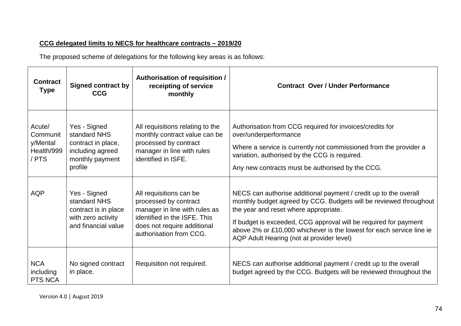## **CCG delegated limits to NECS for healthcare contracts – 2019/20**

The proposed scheme of delegations for the following key areas is as follows:

| <b>Contract</b><br><b>Type</b>                        | <b>Signed contract by</b><br><b>CCG</b>                                                              | <b>Authorisation of requisition /</b><br>receipting of service<br>monthly                                                                                                   | <b>Contract Over / Under Performance</b>                                                                                                                                                                                                                                                                                                                                |
|-------------------------------------------------------|------------------------------------------------------------------------------------------------------|-----------------------------------------------------------------------------------------------------------------------------------------------------------------------------|-------------------------------------------------------------------------------------------------------------------------------------------------------------------------------------------------------------------------------------------------------------------------------------------------------------------------------------------------------------------------|
| Acute/<br>Communit<br>y/Mental<br>Health/999<br>/ PTS | Yes - Signed<br>standard NHS<br>contract in place,<br>including agreed<br>monthly payment<br>profile | All requisitions relating to the<br>monthly contract value can be<br>processed by contract<br>manager in line with rules<br>identified in ISFE.                             | Authorisation from CCG required for invoices/credits for<br>over/underperformance<br>Where a service is currently not commissioned from the provider a<br>variation, authorised by the CCG is required.<br>Any new contracts must be authorised by the CCG.                                                                                                             |
| <b>AQP</b>                                            | Yes - Signed<br>standard NHS<br>contract is in place<br>with zero activity<br>and financial value    | All requisitions can be<br>processed by contract<br>manager in line with rules as<br>identified in the ISFE. This<br>does not require additional<br>authorisation from CCG. | NECS can authorise additional payment / credit up to the overall<br>monthly budget agreed by CCG. Budgets will be reviewed throughout<br>the year and reset where appropriate.<br>If budget is exceeded, CCG approval will be required for payment<br>above 2% or £10,000 whichever is the lowest for each service line ie<br>AQP Adult Hearing (not at provider level) |
| <b>NCA</b><br>including<br>PTS NCA                    | No signed contract<br>in place.                                                                      | Requisition not required.                                                                                                                                                   | NECS can authorise additional payment / credit up to the overall<br>budget agreed by the CCG. Budgets will be reviewed throughout the                                                                                                                                                                                                                                   |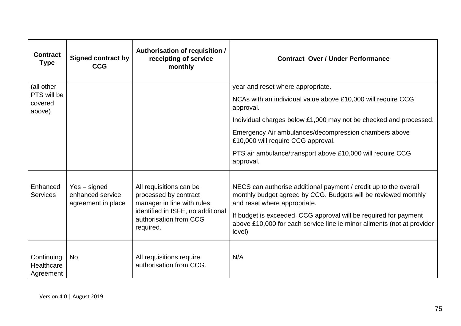| <b>Contract</b><br><b>Type</b>        | <b>Signed contract by</b><br><b>CCG</b>                | Authorisation of requisition /<br>receipting of service<br>monthly                                                                                         | <b>Contract Over / Under Performance</b>                                                                                                                                                                                                                                                                                   |
|---------------------------------------|--------------------------------------------------------|------------------------------------------------------------------------------------------------------------------------------------------------------------|----------------------------------------------------------------------------------------------------------------------------------------------------------------------------------------------------------------------------------------------------------------------------------------------------------------------------|
| (all other                            |                                                        |                                                                                                                                                            | year and reset where appropriate.                                                                                                                                                                                                                                                                                          |
| PTS will be<br>covered<br>above)      |                                                        |                                                                                                                                                            | NCAs with an individual value above £10,000 will require CCG<br>approval.                                                                                                                                                                                                                                                  |
|                                       |                                                        |                                                                                                                                                            | Individual charges below £1,000 may not be checked and processed.                                                                                                                                                                                                                                                          |
|                                       |                                                        |                                                                                                                                                            | Emergency Air ambulances/decompression chambers above<br>£10,000 will require CCG approval.                                                                                                                                                                                                                                |
|                                       |                                                        |                                                                                                                                                            | PTS air ambulance/transport above £10,000 will require CCG<br>approval.                                                                                                                                                                                                                                                    |
| Enhanced<br><b>Services</b>           | Yes - signed<br>enhanced service<br>agreement in place | All requisitions can be<br>processed by contract<br>manager in line with rules<br>identified in ISFE, no additional<br>authorisation from CCG<br>required. | NECS can authorise additional payment / credit up to the overall<br>monthly budget agreed by CCG. Budgets will be reviewed monthly<br>and reset where appropriate.<br>If budget is exceeded, CCG approval will be required for payment<br>above £10,000 for each service line ie minor aliments (not at provider<br>level) |
| Continuing<br>Healthcare<br>Agreement | <b>No</b>                                              | All requisitions require<br>authorisation from CCG.                                                                                                        | N/A                                                                                                                                                                                                                                                                                                                        |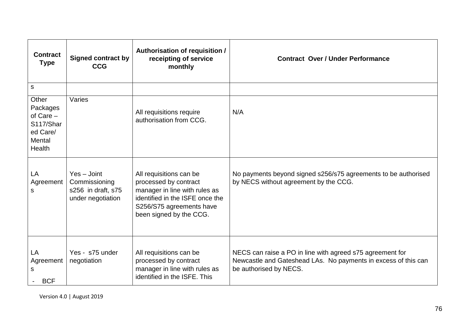| <b>Contract</b><br><b>Type</b>                                                | <b>Signed contract by</b><br><b>CCG</b>                                   | Authorisation of requisition /<br>receipting of service<br>monthly                                                                                                          | <b>Contract Over / Under Performance</b>                                                                                                              |  |  |
|-------------------------------------------------------------------------------|---------------------------------------------------------------------------|-----------------------------------------------------------------------------------------------------------------------------------------------------------------------------|-------------------------------------------------------------------------------------------------------------------------------------------------------|--|--|
| ${\mathsf S}$                                                                 |                                                                           |                                                                                                                                                                             |                                                                                                                                                       |  |  |
| Other<br>Packages<br>of $Care -$<br>S117/Shar<br>ed Care/<br>Mental<br>Health | Varies                                                                    | All requisitions require<br>authorisation from CCG.                                                                                                                         | N/A                                                                                                                                                   |  |  |
| LA<br>Agreement<br>s                                                          | $Yes - Joint$<br>Commissioning<br>s256 in draft, s75<br>under negotiation | All requisitions can be<br>processed by contract<br>manager in line with rules as<br>identified in the ISFE once the<br>S256/S75 agreements have<br>been signed by the CCG. | No payments beyond signed s256/s75 agreements to be authorised<br>by NECS without agreement by the CCG.                                               |  |  |
| LA<br>Agreement<br>S<br><b>BCF</b>                                            | Yes - s75 under<br>negotiation                                            | All requisitions can be<br>processed by contract<br>manager in line with rules as<br>identified in the ISFE. This                                                           | NECS can raise a PO in line with agreed s75 agreement for<br>Newcastle and Gateshead LAs. No payments in excess of this can<br>be authorised by NECS. |  |  |